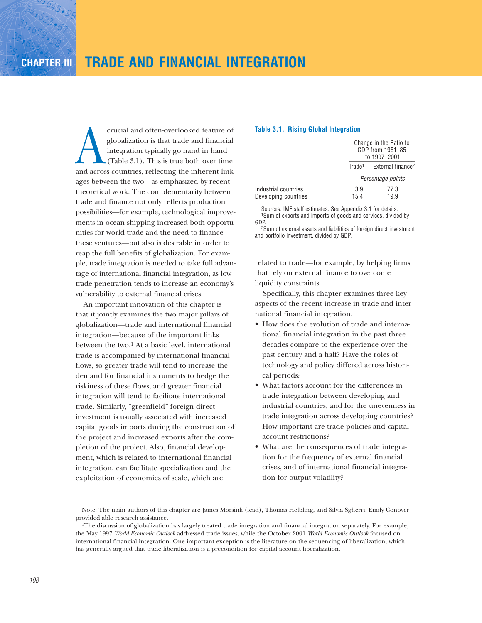crucial and often-overlooked feature of<br>globalization is that trade and financial<br>integration typically go hand in hand<br>(Table 3.1). This is true both over time<br>and across countries, reflecting the inherent linkglobalization is that trade and financial integration typically go hand in hand (Table 3.1). This is true both over time ages between the two—as emphasized by recent theoretical work. The complementarity between trade and finance not only reflects production possibilities—for example, technological improvements in ocean shipping increased both opportunities for world trade and the need to finance these ventures—but also is desirable in order to reap the full benefits of globalization. For example, trade integration is needed to take full advantage of international financial integration, as low trade penetration tends to increase an economy's vulnerability to external financial crises.

An important innovation of this chapter is that it jointly examines the two major pillars of globalization—trade and international financial integration—because of the important links between the two.<sup>1</sup> At a basic level, international trade is accompanied by international financial flows, so greater trade will tend to increase the demand for financial instruments to hedge the riskiness of these flows, and greater financial integration will tend to facilitate international trade. Similarly, "greenfield" foreign direct investment is usually associated with increased capital goods imports during the construction of the project and increased exports after the completion of the project. Also, financial development, which is related to international financial integration, can facilitate specialization and the exploitation of economies of scale, which are

### **Table 3.1. Rising Global Integration**

|                                              |                    | Change in the Ratio to<br>GDP from 1981-85<br>to 1997-2001 |
|----------------------------------------------|--------------------|------------------------------------------------------------|
|                                              | Trade <sup>1</sup> | External finance <sup>2</sup>                              |
|                                              |                    | Percentage points                                          |
| Industrial countries<br>Developing countries | 3.9<br>15.4        | 77.3<br>19.9                                               |

Sources: IMF staff estimates. See Appendix 3.1 for details. 1Sum of exports and imports of goods and services, divided by GDP.

2Sum of external assets and liabilities of foreign direct investment and portfolio investment, divided by GDP.

related to trade—for example, by helping firms that rely on external finance to overcome liquidity constraints.

Specifically, this chapter examines three key aspects of the recent increase in trade and international financial integration.

- How does the evolution of trade and international financial integration in the past three decades compare to the experience over the past century and a half? Have the roles of technology and policy differed across historical periods?
- What factors account for the differences in trade integration between developing and industrial countries, and for the unevenness in trade integration across developing countries? How important are trade policies and capital account restrictions?
- What are the consequences of trade integration for the frequency of external financial crises, and of international financial integration for output volatility?

Note: The main authors of this chapter are James Morsink (lead), Thomas Helbling, and Silvia Sgherri. Emily Conover provided able research assistance.

<sup>1</sup>The discussion of globalization has largely treated trade integration and financial integration separately. For example, the May 1997 *World Economic Outlook* addressed trade issues, while the October 2001 *World Economic Outlook* focused on international financial integration. One important exception is the literature on the sequencing of liberalization, which has generally argued that trade liberalization is a precondition for capital account liberalization.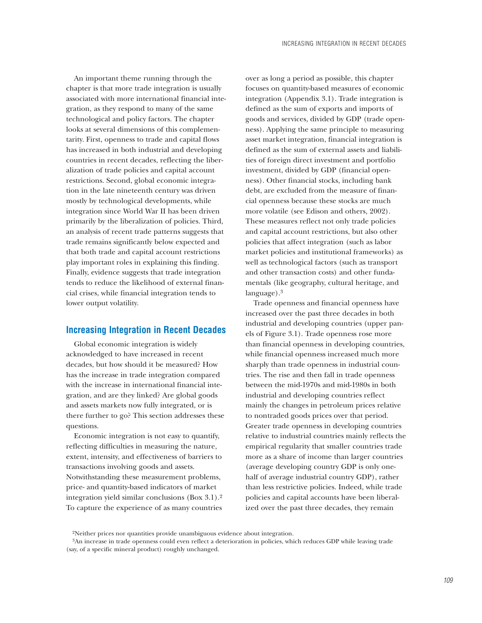An important theme running through the chapter is that more trade integration is usually associated with more international financial integration, as they respond to many of the same technological and policy factors. The chapter looks at several dimensions of this complementarity. First, openness to trade and capital flows has increased in both industrial and developing countries in recent decades, reflecting the liberalization of trade policies and capital account restrictions. Second, global economic integration in the late nineteenth century was driven mostly by technological developments, while integration since World War II has been driven primarily by the liberalization of policies. Third, an analysis of recent trade patterns suggests that trade remains significantly below expected and that both trade and capital account restrictions play important roles in explaining this finding. Finally, evidence suggests that trade integration tends to reduce the likelihood of external financial crises, while financial integration tends to lower output volatility.

# **Increasing Integration in Recent Decades**

Global economic integration is widely acknowledged to have increased in recent decades, but how should it be measured? How has the increase in trade integration compared with the increase in international financial integration, and are they linked? Are global goods and assets markets now fully integrated, or is there further to go? This section addresses these questions.

Economic integration is not easy to quantify, reflecting difficulties in measuring the nature, extent, intensity, and effectiveness of barriers to transactions involving goods and assets. Notwithstanding these measurement problems, price- and quantity-based indicators of market integration yield similar conclusions (Box 3.1).2 To capture the experience of as many countries

over as long a period as possible, this chapter focuses on quantity-based measures of economic integration (Appendix 3.1). Trade integration is defined as the sum of exports and imports of goods and services, divided by GDP (trade openness). Applying the same principle to measuring asset market integration, financial integration is defined as the sum of external assets and liabilities of foreign direct investment and portfolio investment, divided by GDP (financial openness). Other financial stocks, including bank debt, are excluded from the measure of financial openness because these stocks are much more volatile (see Edison and others, 2002). These measures reflect not only trade policies and capital account restrictions, but also other policies that affect integration (such as labor market policies and institutional frameworks) as well as technological factors (such as transport and other transaction costs) and other fundamentals (like geography, cultural heritage, and language).3

Trade openness and financial openness have increased over the past three decades in both industrial and developing countries (upper panels of Figure 3.1). Trade openness rose more than financial openness in developing countries, while financial openness increased much more sharply than trade openness in industrial countries. The rise and then fall in trade openness between the mid-1970s and mid-1980s in both industrial and developing countries reflect mainly the changes in petroleum prices relative to nontraded goods prices over that period. Greater trade openness in developing countries relative to industrial countries mainly reflects the empirical regularity that smaller countries trade more as a share of income than larger countries (average developing country GDP is only onehalf of average industrial country GDP), rather than less restrictive policies. Indeed, while trade policies and capital accounts have been liberalized over the past three decades, they remain

<sup>2</sup>Neither prices nor quantities provide unambiguous evidence about integration.

<sup>3</sup>An increase in trade openness could even reflect a deterioration in policies, which reduces GDP while leaving trade (say, of a specific mineral product) roughly unchanged.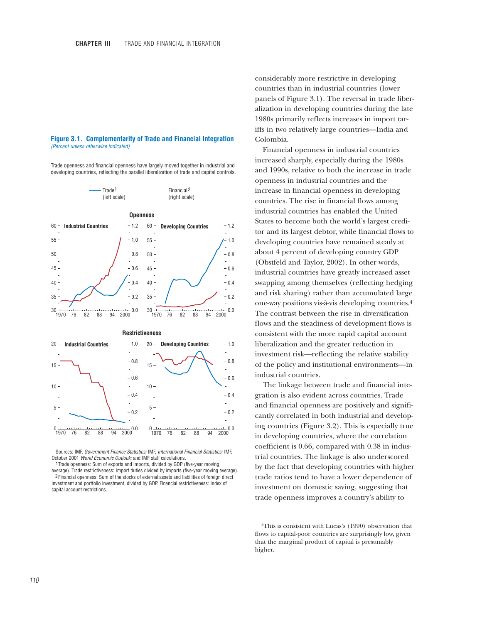#### **Figure 3.1. Complementarity of Trade and Financial Integration** *(Percent unless otherwise indicated)*

Trade openness and financial openness have largely moved together in industrial and developing countries, reflecting the parallel liberalization of trade and capital controls.



Sources: IMF, *Government Finance Statistics;* IMF, *International Financial Statistics;* IMF, October 2001 *World Economic Outlook;* and IMF staff calculations.

1Trade openness: Sum of exports and imports, divided by GDP (five-year moving average). Trade restrictiveness: Import duties divided by imports (five-year moving average). <sup>2</sup> Financial openness: Sum of the stocks of external assets and liabilities of foreign direct

investment and portfolio investment, divided by GDP. Financial restrictiveness: Index of capital account restrictions.

considerably more restrictive in developing countries than in industrial countries (lower panels of Figure 3.1). The reversal in trade liberalization in developing countries during the late 1980s primarily reflects increases in import tariffs in two relatively large countries—India and Colombia.

Financial openness in industrial countries increased sharply, especially during the 1980s and 1990s, relative to both the increase in trade openness in industrial countries and the increase in financial openness in developing countries. The rise in financial flows among industrial countries has enabled the United States to become both the world's largest creditor and its largest debtor, while financial flows to developing countries have remained steady at about 4 percent of developing country GDP (Obstfeld and Taylor, 2002). In other words, industrial countries have greatly increased asset swapping among themselves (reflecting hedging and risk sharing) rather than accumulated large one-way positions vis-à-vis developing countries.4 The contrast between the rise in diversification flows and the steadiness of development flows is consistent with the more rapid capital account liberalization and the greater reduction in investment risk—reflecting the relative stability of the policy and institutional environments—in industrial countries.

The linkage between trade and financial integration is also evident across countries. Trade and financial openness are positively and significantly correlated in both industrial and developing countries (Figure 3.2). This is especially true in developing countries, where the correlation coefficient is 0.66, compared with 0.38 in industrial countries. The linkage is also underscored by the fact that developing countries with higher trade ratios tend to have a lower dependence of investment on domestic saving, suggesting that trade openness improves a country's ability to

4This is consistent with Lucas's (1990) observation that flows to capital-poor countries are surprisingly low, given that the marginal product of capital is presumably higher.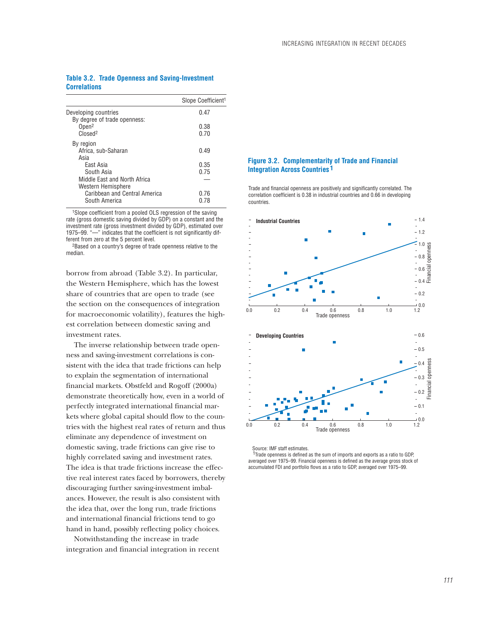## **Table 3.2. Trade Openness and Saving-Investment Correlations**

|                                                                      | Slope Coefficient <sup>1</sup> |
|----------------------------------------------------------------------|--------------------------------|
| Developing countries<br>By degree of trade openness:                 | 0.47                           |
| Open <sup>2</sup><br>Closed <sup>2</sup>                             | 0.38<br>0.70                   |
| By region<br>Africa. sub-Saharan<br>Asia                             | 0.49                           |
| East Asia<br>South Asia<br>Middle Fast and North Africa              | 0.35<br>0.75                   |
| Western Hemisphere<br>Caribbean and Central America<br>South America | 0.76<br>በ 78                   |

1Slope coefficient from a pooled OLS regression of the saving rate (gross domestic saving divided by GDP) on a constant and the investment rate (gross investment divided by GDP), estimated over 1975–99. "—" indicates that the coefficient is not significantly different from zero at the 5 percent level.

2Based on a country's degree of trade openness relative to the median.

borrow from abroad (Table 3.2). In particular, the Western Hemisphere, which has the lowest share of countries that are open to trade (see the section on the consequences of integration for macroeconomic volatility), features the highest correlation between domestic saving and investment rates.

The inverse relationship between trade openness and saving-investment correlations is consistent with the idea that trade frictions can help to explain the segmentation of international financial markets. Obstfeld and Rogoff (2000a) demonstrate theoretically how, even in a world of perfectly integrated international financial markets where global capital should flow to the countries with the highest real rates of return and thus eliminate any dependence of investment on domestic saving, trade frictions can give rise to highly correlated saving and investment rates. The idea is that trade frictions increase the effective real interest rates faced by borrowers, thereby discouraging further saving-investment imbalances. However, the result is also consistent with the idea that, over the long run, trade frictions and international financial frictions tend to go hand in hand, possibly reflecting policy choices.

Notwithstanding the increase in trade integration and financial integration in recent

## **Figure 3.2. Complementarity of Trade and Financial Integration Across Countries 1**

Trade and financial openness are positively and significantly correlated. The correlation coefficient is 0.38 in industrial countries and 0.66 in developing countries.



Source: IMF staff estimates.

<sup>1</sup>Trade openness is defined as the sum of imports and exports as a ratio to GDP, averaged over 1975–99. Financial openness is defined as the average gross stock of accumulated FDI and portfolio flows as a ratio to GDP, averaged over 1975–99.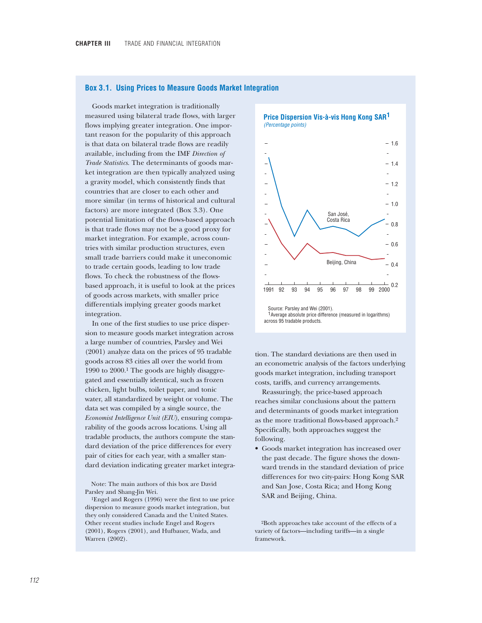### **Box 3.1. Using Prices to Measure Goods Market Integration**

Goods market integration is traditionally measured using bilateral trade flows, with larger flows implying greater integration. One important reason for the popularity of this approach is that data on bilateral trade flows are readily available, including from the IMF *Direction of Trade Statistics*. The determinants of goods market integration are then typically analyzed using a gravity model, which consistently finds that countries that are closer to each other and more similar (in terms of historical and cultural factors) are more integrated (Box 3.3). One potential limitation of the flows-based approach is that trade flows may not be a good proxy for market integration. For example, across countries with similar production structures, even small trade barriers could make it uneconomic to trade certain goods, leading to low trade flows. To check the robustness of the flowsbased approach, it is useful to look at the prices of goods across markets, with smaller price differentials implying greater goods market integration.

In one of the first studies to use price dispersion to measure goods market integration across a large number of countries, Parsley and Wei (2001) analyze data on the prices of 95 tradable goods across 83 cities all over the world from 1990 to 2000.1 The goods are highly disaggregated and essentially identical, such as frozen chicken, light bulbs, toilet paper, and tonic water, all standardized by weight or volume. The data set was compiled by a single source, the *Economist Intelligence Unit (EIU)*, ensuring comparability of the goods across locations. Using all tradable products, the authors compute the standard deviation of the price differences for every pair of cities for each year, with a smaller standard deviation indicating greater market integra-

Note: The main authors of this box are David Parsley and Shang-Jin Wei.

1Engel and Rogers (1996) were the first to use price dispersion to measure goods market integration, but they only considered Canada and the United States. Other recent studies include Engel and Rogers (2001), Rogers (2001), and Hufbauer, Wada, and Warren (2002).





tion. The standard deviations are then used in an econometric analysis of the factors underlying goods market integration, including transport costs, tariffs, and currency arrangements.

Reassuringly, the price-based approach reaches similar conclusions about the pattern and determinants of goods market integration as the more traditional flows-based approach.2 Specifically, both approaches suggest the following.

• Goods market integration has increased over the past decade. The figure shows the downward trends in the standard deviation of price differences for two city-pairs: Hong Kong SAR and San Jose, Costa Rica; and Hong Kong SAR and Beijing, China.

2Both approaches take account of the effects of a variety of factors—including tariffs—in a single framework.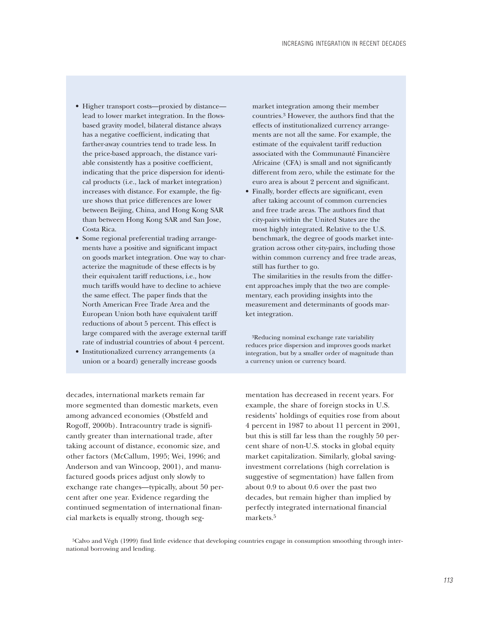- Higher transport costs—proxied by distance lead to lower market integration. In the flowsbased gravity model, bilateral distance always has a negative coefficient, indicating that farther-away countries tend to trade less. In the price-based approach, the distance variable consistently has a positive coefficient, indicating that the price dispersion for identical products (i.e., lack of market integration) increases with distance. For example, the figure shows that price differences are lower between Beijing, China, and Hong Kong SAR than between Hong Kong SAR and San Jose, Costa Rica.
- Some regional preferential trading arrangements have a positive and significant impact on goods market integration. One way to characterize the magnitude of these effects is by their equivalent tariff reductions, i.e., how much tariffs would have to decline to achieve the same effect. The paper finds that the North American Free Trade Area and the European Union both have equivalent tariff reductions of about 5 percent. This effect is large compared with the average external tariff rate of industrial countries of about 4 percent.
- Institutionalized currency arrangements (a union or a board) generally increase goods

market integration among their member countries.3 However, the authors find that the effects of institutionalized currency arrangements are not all the same. For example, the estimate of the equivalent tariff reduction associated with the Communauté Financière Africaine (CFA) is small and not significantly different from zero, while the estimate for the euro area is about 2 percent and significant.

• Finally, border effects are significant, even after taking account of common currencies and free trade areas. The authors find that city-pairs within the United States are the most highly integrated. Relative to the U.S. benchmark, the degree of goods market integration across other city-pairs, including those within common currency and free trade areas, still has further to go.

The similarities in the results from the different approaches imply that the two are complementary, each providing insights into the measurement and determinants of goods market integration.

3Reducing nominal exchange rate variability reduces price dispersion and improves goods market integration, but by a smaller order of magnitude than a currency union or currency board.

decades, international markets remain far more segmented than domestic markets, even among advanced economies (Obstfeld and Rogoff, 2000b). Intracountry trade is significantly greater than international trade, after taking account of distance, economic size, and other factors (McCallum, 1995; Wei, 1996; and Anderson and van Wincoop, 2001), and manufactured goods prices adjust only slowly to exchange rate changes—typically, about 50 percent after one year. Evidence regarding the continued segmentation of international financial markets is equally strong, though segmentation has decreased in recent years. For example, the share of foreign stocks in U.S. residents' holdings of equities rose from about 4 percent in 1987 to about 11 percent in 2001, but this is still far less than the roughly 50 percent share of non-U.S. stocks in global equity market capitalization. Similarly, global savinginvestment correlations (high correlation is suggestive of segmentation) have fallen from about 0.9 to about 0.6 over the past two decades, but remain higher than implied by perfectly integrated international financial markets.5

5Calvo and Végh (1999) find little evidence that developing countries engage in consumption smoothing through international borrowing and lending.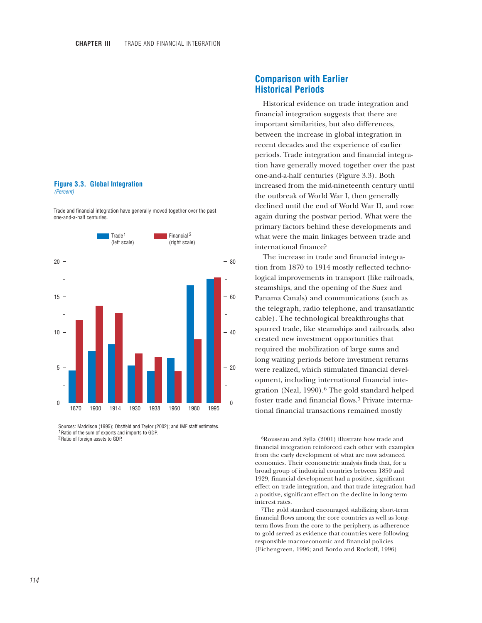#### **Figure 3.3. Global Integration** *(Percent)*

Trade and financial integration have generally moved together over the past one-and-a-half centuries.



 Sources: Maddison (1995); Obstfeld and Taylor (2002); and IMF staff estimates. 1 Ratio of the sum of exports and imports to GDP. 2 Ratio of foreign assets to GDP.

# **Comparison with Earlier Historical Periods**

Historical evidence on trade integration and financial integration suggests that there are important similarities, but also differences, between the increase in global integration in recent decades and the experience of earlier periods. Trade integration and financial integration have generally moved together over the past one-and-a-half centuries (Figure 3.3). Both increased from the mid-nineteenth century until the outbreak of World War I, then generally declined until the end of World War II, and rose again during the postwar period. What were the primary factors behind these developments and what were the main linkages between trade and international finance?

The increase in trade and financial integration from 1870 to 1914 mostly reflected technological improvements in transport (like railroads, steamships, and the opening of the Suez and Panama Canals) and communications (such as the telegraph, radio telephone, and transatlantic cable). The technological breakthroughs that spurred trade, like steamships and railroads, also created new investment opportunities that required the mobilization of large sums and long waiting periods before investment returns were realized, which stimulated financial development, including international financial integration (Neal, 1990).<sup>6</sup> The gold standard helped foster trade and financial flows.7 Private international financial transactions remained mostly

<sup>6</sup>Rousseau and Sylla (2001) illustrate how trade and financial integration reinforced each other with examples from the early development of what are now advanced economies. Their econometric analysis finds that, for a broad group of industrial countries between 1850 and 1929, financial development had a positive, significant effect on trade integration, and that trade integration had a positive, significant effect on the decline in long-term interest rates.

7The gold standard encouraged stabilizing short-term financial flows among the core countries as well as longterm flows from the core to the periphery, as adherence to gold served as evidence that countries were following responsible macroeconomic and financial policies (Eichengreen, 1996; and Bordo and Rockoff, 1996)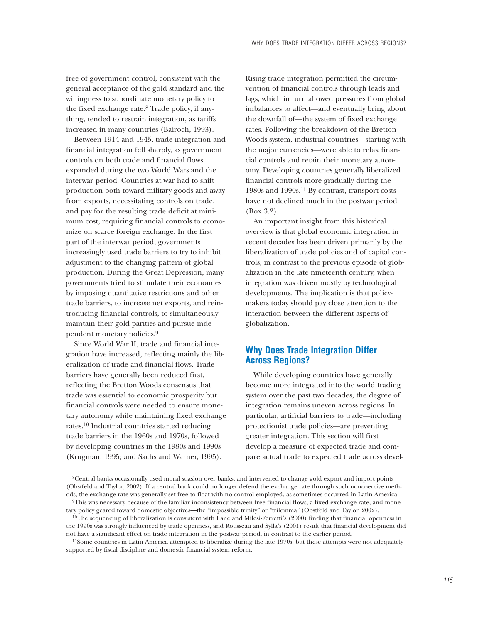free of government control, consistent with the general acceptance of the gold standard and the willingness to subordinate monetary policy to the fixed exchange rate.8 Trade policy, if anything, tended to restrain integration, as tariffs increased in many countries (Bairoch, 1993).

Between 1914 and 1945, trade integration and financial integration fell sharply, as government controls on both trade and financial flows expanded during the two World Wars and the interwar period. Countries at war had to shift production both toward military goods and away from exports, necessitating controls on trade, and pay for the resulting trade deficit at minimum cost, requiring financial controls to economize on scarce foreign exchange. In the first part of the interwar period, governments increasingly used trade barriers to try to inhibit adjustment to the changing pattern of global production. During the Great Depression, many governments tried to stimulate their economies by imposing quantitative restrictions and other trade barriers, to increase net exports, and reintroducing financial controls, to simultaneously maintain their gold parities and pursue independent monetary policies.9

Since World War II, trade and financial integration have increased, reflecting mainly the liberalization of trade and financial flows. Trade barriers have generally been reduced first, reflecting the Bretton Woods consensus that trade was essential to economic prosperity but financial controls were needed to ensure monetary autonomy while maintaining fixed exchange rates.10 Industrial countries started reducing trade barriers in the 1960s and 1970s, followed by developing countries in the 1980s and 1990s (Krugman, 1995; and Sachs and Warner, 1995).

Rising trade integration permitted the circumvention of financial controls through leads and lags, which in turn allowed pressures from global imbalances to affect—and eventually bring about the downfall of—the system of fixed exchange rates. Following the breakdown of the Bretton Woods system, industrial countries—starting with the major currencies—were able to relax financial controls and retain their monetary autonomy. Developing countries generally liberalized financial controls more gradually during the 1980s and 1990s.11 By contrast, transport costs have not declined much in the postwar period (Box 3.2).

An important insight from this historical overview is that global economic integration in recent decades has been driven primarily by the liberalization of trade policies and of capital controls, in contrast to the previous episode of globalization in the late nineteenth century, when integration was driven mostly by technological developments. The implication is that policymakers today should pay close attention to the interaction between the different aspects of globalization.

# **Why Does Trade Integration Differ Across Regions?**

While developing countries have generally become more integrated into the world trading system over the past two decades, the degree of integration remains uneven across regions. In particular, artificial barriers to trade—including protectionist trade policies—are preventing greater integration. This section will first develop a measure of expected trade and compare actual trade to expected trade across devel-

8Central banks occasionally used moral suasion over banks, and intervened to change gold export and import points (Obstfeld and Taylor, 2002). If a central bank could no longer defend the exchange rate through such noncoercive methods, the exchange rate was generally set free to float with no control employed, as sometimes occurred in Latin America.

<sup>10</sup>The sequencing of liberalization is consistent with Lane and Milesi-Ferretti's (2000) finding that financial openness in the 1990s was strongly influenced by trade openness, and Rousseau and Sylla's (2001) result that financial development did not have a significant effect on trade integration in the postwar period, in contrast to the earlier period.

11Some countries in Latin America attempted to liberalize during the late 1970s, but these attempts were not adequately supported by fiscal discipline and domestic financial system reform.

<sup>9</sup>This was necessary because of the familiar inconsistency between free financial flows, a fixed exchange rate, and monetary policy geared toward domestic objectives—the "impossible trinity" or "trilemma" (Obstfeld and Taylor, 2002).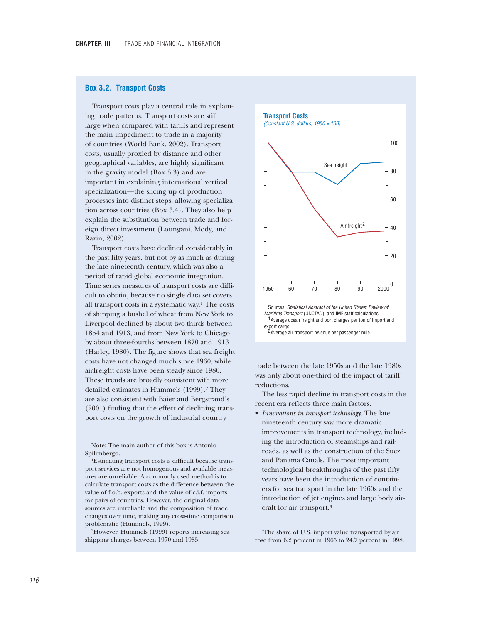### **Box 3.2. Transport Costs**

Transport costs play a central role in explaining trade patterns. Transport costs are still large when compared with tariffs and represent the main impediment to trade in a majority of countries (World Bank, 2002). Transport costs, usually proxied by distance and other geographical variables, are highly significant in the gravity model (Box 3.3) and are important in explaining international vertical specialization—the slicing up of production processes into distinct steps, allowing specialization across countries (Box 3.4). They also help explain the substitution between trade and foreign direct investment (Loungani, Mody, and Razin, 2002).

Transport costs have declined considerably in the past fifty years, but not by as much as during the late nineteenth century, which was also a period of rapid global economic integration. Time series measures of transport costs are difficult to obtain, because no single data set covers all transport costs in a systematic way.1 The costs of shipping a bushel of wheat from New York to Liverpool declined by about two-thirds between 1854 and 1913, and from New York to Chicago by about three-fourths between 1870 and 1913 (Harley, 1980). The figure shows that sea freight costs have not changed much since 1960, while airfreight costs have been steady since 1980. These trends are broadly consistent with more detailed estimates in Hummels (1999).<sup>2</sup> They are also consistent with Baier and Bergstrand's (2001) finding that the effect of declining transport costs on the growth of industrial country

Note: The main author of this box is Antonio Spilimbergo.

1Estimating transport costs is difficult because transport services are not homogenous and available measures are unreliable. A commonly used method is to calculate transport costs as the difference between the value of f.o.b. exports and the value of c.i.f. imports for pairs of countries. However, the original data sources are unreliable and the composition of trade changes over time, making any cross-time comparison problematic (Hummels, 1999).

2However, Hummels (1999) reports increasing sea shipping charges between 1970 and 1985.

**Transport Costs** *(Constant U.S. dollars; 1950 = 100)*



trade between the late 1950s and the late 1980s was only about one-third of the impact of tariff reductions.

The less rapid decline in transport costs in the recent era reflects three main factors.

• *Innovations in transport technology*. The late nineteenth century saw more dramatic improvements in transport technology, including the introduction of steamships and railroads, as well as the construction of the Suez and Panama Canals. The most important technological breakthroughs of the past fifty years have been the introduction of containers for sea transport in the late 1960s and the introduction of jet engines and large body aircraft for air transport.3

3The share of U.S. import value transported by air rose from 6.2 percent in 1965 to 24.7 percent in 1998.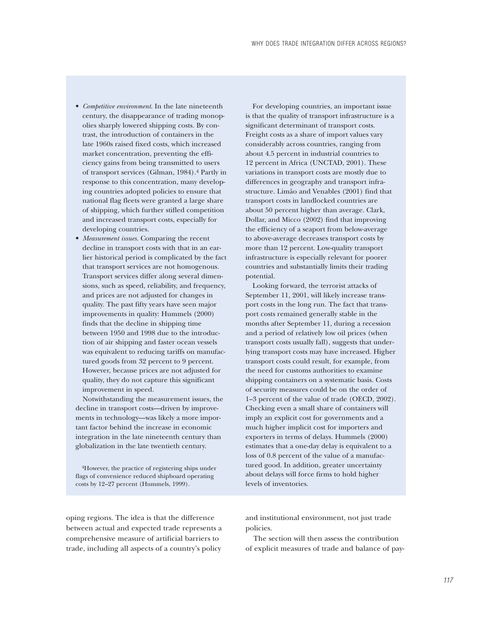- *Competitive environment*. In the late nineteenth century, the disappearance of trading monopolies sharply lowered shipping costs. By contrast, the introduction of containers in the late 1960s raised fixed costs, which increased market concentration, preventing the efficiency gains from being transmitted to users of transport services (Gilman, 1984).4 Partly in response to this concentration, many developing countries adopted policies to ensure that national flag fleets were granted a large share of shipping, which further stifled competition and increased transport costs, especially for developing countries.
- *Measurement issues*. Comparing the recent decline in transport costs with that in an earlier historical period is complicated by the fact that transport services are not homogenous. Transport services differ along several dimensions, such as speed, reliability, and frequency, and prices are not adjusted for changes in quality. The past fifty years have seen major improvements in quality: Hummels (2000) finds that the decline in shipping time between 1950 and 1998 due to the introduction of air shipping and faster ocean vessels was equivalent to reducing tariffs on manufactured goods from 32 percent to 9 percent. However, because prices are not adjusted for quality, they do not capture this significant improvement in speed.

Notwithstanding the measurement issues, the decline in transport costs—driven by improvements in technology—was likely a more important factor behind the increase in economic integration in the late nineteenth century than globalization in the late twentieth century.

4However, the practice of registering ships under flags of convenience reduced shipboard operating costs by 12–27 percent (Hummels, 1999).

For developing countries, an important issue is that the quality of transport infrastructure is a significant determinant of transport costs. Freight costs as a share of import values vary considerably across countries, ranging from about 4.5 percent in industrial countries to 12 percent in Africa (UNCTAD, 2001). These variations in transport costs are mostly due to differences in geography and transport infrastructure. Limão and Venables (2001) find that transport costs in landlocked countries are about 50 percent higher than average. Clark, Dollar, and Micco (2002) find that improving the efficiency of a seaport from below-average to above-average decreases transport costs by more than 12 percent. Low-quality transport infrastructure is especially relevant for poorer countries and substantially limits their trading potential.

Looking forward, the terrorist attacks of September 11, 2001, will likely increase transport costs in the long run. The fact that transport costs remained generally stable in the months after September 11, during a recession and a period of relatively low oil prices (when transport costs usually fall), suggests that underlying transport costs may have increased. Higher transport costs could result, for example, from the need for customs authorities to examine shipping containers on a systematic basis. Costs of security measures could be on the order of 1–3 percent of the value of trade (OECD, 2002). Checking even a small share of containers will imply an explicit cost for governments and a much higher implicit cost for importers and exporters in terms of delays. Hummels (2000) estimates that a one-day delay is equivalent to a loss of 0.8 percent of the value of a manufactured good. In addition, greater uncertainty about delays will force firms to hold higher levels of inventories.

oping regions. The idea is that the difference between actual and expected trade represents a comprehensive measure of artificial barriers to trade, including all aspects of a country's policy

and institutional environment, not just trade policies.

The section will then assess the contribution of explicit measures of trade and balance of pay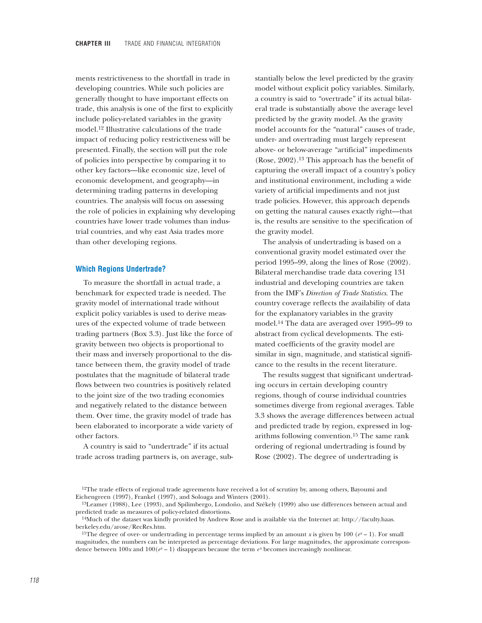ments restrictiveness to the shortfall in trade in developing countries. While such policies are generally thought to have important effects on trade, this analysis is one of the first to explicitly include policy-related variables in the gravity model.12 Illustrative calculations of the trade impact of reducing policy restrictiveness will be presented. Finally, the section will put the role of policies into perspective by comparing it to other key factors—like economic size, level of economic development, and geography—in determining trading patterns in developing countries. The analysis will focus on assessing the role of policies in explaining why developing countries have lower trade volumes than industrial countries, and why east Asia trades more than other developing regions.

### **Which Regions Undertrade?**

To measure the shortfall in actual trade, a benchmark for expected trade is needed. The gravity model of international trade without explicit policy variables is used to derive measures of the expected volume of trade between trading partners (Box 3.3). Just like the force of gravity between two objects is proportional to their mass and inversely proportional to the distance between them, the gravity model of trade postulates that the magnitude of bilateral trade flows between two countries is positively related to the joint size of the two trading economies and negatively related to the distance between them. Over time, the gravity model of trade has been elaborated to incorporate a wide variety of other factors.

A country is said to "undertrade" if its actual trade across trading partners is, on average, substantially below the level predicted by the gravity model without explicit policy variables. Similarly, a country is said to "overtrade" if its actual bilateral trade is substantially above the average level predicted by the gravity model. As the gravity model accounts for the "natural" causes of trade, under- and overtrading must largely represent above- or below-average "artificial" impediments (Rose, 2002).13 This approach has the benefit of capturing the overall impact of a country's policy and institutional environment, including a wide variety of artificial impediments and not just trade policies. However, this approach depends on getting the natural causes exactly right—that is, the results are sensitive to the specification of the gravity model.

The analysis of undertrading is based on a conventional gravity model estimated over the period 1995–99, along the lines of Rose (2002). Bilateral merchandise trade data covering 131 industrial and developing countries are taken from the IMF's *Direction of Trade Statistics*. The country coverage reflects the availability of data for the explanatory variables in the gravity model.14 The data are averaged over 1995–99 to abstract from cyclical developments. The estimated coefficients of the gravity model are similar in sign, magnitude, and statistical significance to the results in the recent literature.

The results suggest that significant undertrading occurs in certain developing country regions, though of course individual countries sometimes diverge from regional averages. Table 3.3 shows the average differences between actual and predicted trade by region, expressed in logarithms following convention.15 The same rank ordering of regional undertrading is found by Rose (2002). The degree of undertrading is

<sup>&</sup>lt;sup>12</sup>The trade effects of regional trade agreements have received a lot of scrutiny by, among others, Bayoumi and Eichengreen (1997), Frankel (1997), and Soloaga and Winters (2001).

<sup>13</sup>Leamer (1988), Lee (1993), and Spilimbergo, Londoño, and Székely (1999) also use differences between actual and predicted trade as measures of policy-related distortions.

<sup>14</sup>Much of the dataset was kindly provided by Andrew Rose and is available via the Internet at: http://faculty.haas. berkeley.edu/arose/RecRes.htm.

<sup>&</sup>lt;sup>15</sup>The degree of over- or undertrading in percentage terms implied by an amount *x* is given by 100 ( $e^x - 1$ ). For small magnitudes, the numbers can be interpreted as percentage deviations. For large magnitudes, the approximate correspondence between  $100x$  and  $100(e^x - 1)$  disappears because the term  $e^x$  becomes increasingly nonlinear.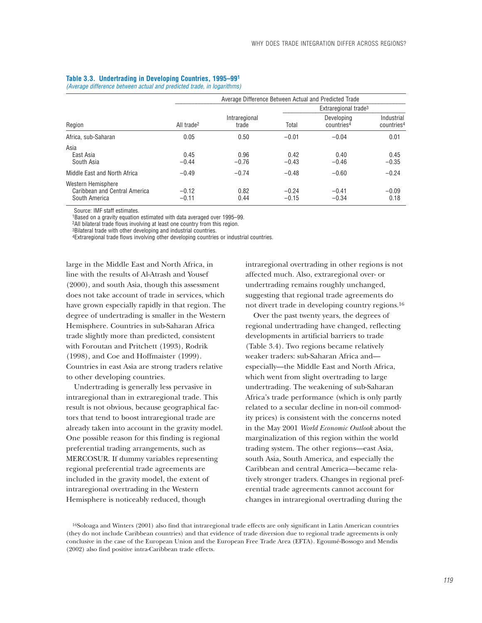|                                                                      |                        | Average Difference Between Actual and Predicted Trade |                    |                                      |                                      |  |  |
|----------------------------------------------------------------------|------------------------|-------------------------------------------------------|--------------------|--------------------------------------|--------------------------------------|--|--|
|                                                                      |                        |                                                       |                    | Extraregional trade <sup>3</sup>     |                                      |  |  |
| Region                                                               | All trade <sup>2</sup> | Intraregional<br>trade                                | Total              | Developing<br>countries <sup>4</sup> | Industrial<br>countries <sup>4</sup> |  |  |
| Africa, sub-Saharan                                                  | 0.05                   | 0.50                                                  | $-0.01$            | $-0.04$                              | 0.01                                 |  |  |
| Asia<br>East Asia<br>South Asia                                      | 0.45<br>$-0.44$        | 0.96<br>$-0.76$                                       | 0.42<br>$-0.43$    | 0.40<br>$-0.46$                      | 0.45<br>$-0.35$                      |  |  |
| Middle East and North Africa                                         | $-0.49$                | $-0.74$                                               | $-0.48$            | $-0.60$                              | $-0.24$                              |  |  |
| Western Hemisphere<br>Caribbean and Central America<br>South America | $-0.12$<br>$-0.11$     | 0.82<br>0.44                                          | $-0.24$<br>$-0.15$ | $-0.41$<br>$-0.34$                   | $-0.09$<br>0.18                      |  |  |

### **Table 3.3. Undertrading in Developing Countries, 1995–991**

*(Average difference between actual and predicted trade, in logarithms)*

Source: IMF staff estimates.

1Based on a gravity equation estimated with data averaged over 1995–99.

2All bilateral trade flows involving at least one country from this region.

3Bilateral trade with other developing and industrial countries.

4Extraregional trade flows involving other developing countries or industrial countries.

large in the Middle East and North Africa, in line with the results of Al-Atrash and Yousef (2000), and south Asia, though this assessment does not take account of trade in services, which have grown especially rapidly in that region. The degree of undertrading is smaller in the Western Hemisphere. Countries in sub-Saharan Africa trade slightly more than predicted, consistent with Foroutan and Pritchett (1993), Rodrik (1998), and Coe and Hoffmaister (1999). Countries in east Asia are strong traders relative to other developing countries.

Undertrading is generally less pervasive in intraregional than in extraregional trade. This result is not obvious, because geographical factors that tend to boost intraregional trade are already taken into account in the gravity model. One possible reason for this finding is regional preferential trading arrangements, such as MERCOSUR. If dummy variables representing regional preferential trade agreements are included in the gravity model, the extent of intraregional overtrading in the Western Hemisphere is noticeably reduced, though

intraregional overtrading in other regions is not affected much. Also, extraregional over- or undertrading remains roughly unchanged, suggesting that regional trade agreements do not divert trade in developing country regions.16

Over the past twenty years, the degrees of regional undertrading have changed, reflecting developments in artificial barriers to trade (Table 3.4). Two regions became relatively weaker traders: sub-Saharan Africa and especially—the Middle East and North Africa, which went from slight overtrading to large undertrading. The weakening of sub-Saharan Africa's trade performance (which is only partly related to a secular decline in non-oil commodity prices) is consistent with the concerns noted in the May 2001 *World Economic Outlook* about the marginalization of this region within the world trading system. The other regions—east Asia, south Asia, South America, and especially the Caribbean and central America—became relatively stronger traders. Changes in regional preferential trade agreements cannot account for changes in intraregional overtrading during the

<sup>&</sup>lt;sup>16</sup>Soloaga and Winters (2001) also find that intraregional trade effects are only significant in Latin American countries (they do not include Caribbean countries) and that evidence of trade diversion due to regional trade agreements is only conclusive in the case of the European Union and the European Free Trade Area (EFTA). Egoumé-Bossogo and Mendis (2002) also find positive intra-Caribbean trade effects.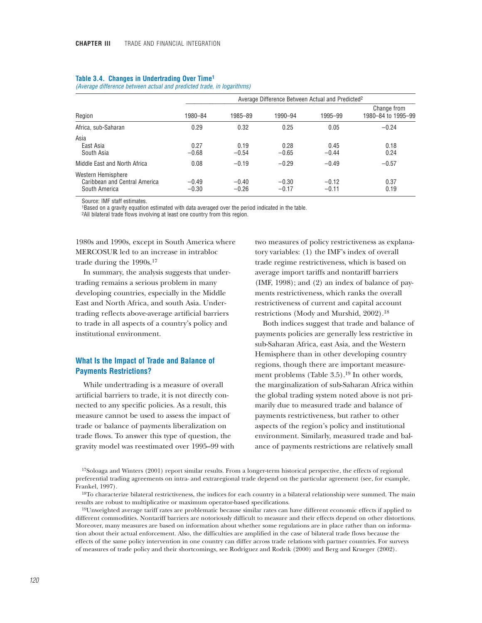### **Table 3.4. Changes in Undertrading Over Time1**

*(Average difference between actual and predicted trade, in logarithms)*

|                                                                      |                    | Average Difference Between Actual and Predicted <sup>2</sup> |                    |                    |                                   |  |
|----------------------------------------------------------------------|--------------------|--------------------------------------------------------------|--------------------|--------------------|-----------------------------------|--|
| Region                                                               | 1980-84            | 1985-89                                                      | 1990-94            | 1995-99            | Change from<br>1980-84 to 1995-99 |  |
| Africa, sub-Saharan                                                  | 0.29               | 0.32                                                         | 0.25               | 0.05               | $-0.24$                           |  |
| Asia<br>East Asia<br>South Asia                                      | 0.27<br>$-0.68$    | 0.19<br>$-0.54$                                              | 0.28<br>$-0.65$    | 0.45<br>$-0.44$    | 0.18<br>0.24                      |  |
| Middle East and North Africa                                         | 0.08               | $-0.19$                                                      | $-0.29$            | $-0.49$            | $-0.57$                           |  |
| Western Hemisphere<br>Caribbean and Central America<br>South America | $-0.49$<br>$-0.30$ | $-0.40$<br>$-0.26$                                           | $-0.30$<br>$-0.17$ | $-0.12$<br>$-0.11$ | 0.37<br>0.19                      |  |

Source: IMF staff estimates.

1Based on a gravity equation estimated with data averaged over the period indicated in the table.

2All bilateral trade flows involving at least one country from this region.

1980s and 1990s, except in South America where MERCOSUR led to an increase in intrabloc trade during the 1990s.17

In summary, the analysis suggests that undertrading remains a serious problem in many developing countries, especially in the Middle East and North Africa, and south Asia. Undertrading reflects above-average artificial barriers to trade in all aspects of a country's policy and institutional environment.

# **What Is the Impact of Trade and Balance of Payments Restrictions?**

While undertrading is a measure of overall artificial barriers to trade, it is not directly connected to any specific policies. As a result, this measure cannot be used to assess the impact of trade or balance of payments liberalization on trade flows. To answer this type of question, the gravity model was reestimated over 1995–99 with two measures of policy restrictiveness as explanatory variables: (1) the IMF's index of overall trade regime restrictiveness, which is based on average import tariffs and nontariff barriers (IMF, 1998); and (2) an index of balance of payments restrictiveness, which ranks the overall restrictiveness of current and capital account restrictions (Mody and Murshid, 2002).18

Both indices suggest that trade and balance of payments policies are generally less restrictive in sub-Saharan Africa, east Asia, and the Western Hemisphere than in other developing country regions, though there are important measurement problems (Table 3.5).<sup>19</sup> In other words, the marginalization of sub-Saharan Africa within the global trading system noted above is not primarily due to measured trade and balance of payments restrictiveness, but rather to other aspects of the region's policy and institutional environment. Similarly, measured trade and balance of payments restrictions are relatively small

<sup>17</sup>Soloaga and Winters (2001) report similar results. From a longer-term historical perspective, the effects of regional preferential trading agreements on intra- and extraregional trade depend on the particular agreement (see, for example, Frankel, 1997).

<sup>&</sup>lt;sup>18</sup>To characterize bilateral restrictiveness, the indices for each country in a bilateral relationship were summed. The main results are robust to multiplicative or maximum operator-based specifications.

<sup>19</sup>Unweighted average tariff rates are problematic because similar rates can have different economic effects if applied to different commodities. Nontariff barriers are notoriously difficult to measure and their effects depend on other distortions. Moreover, many measures are based on information about whether some regulations are in place rather than on information about their actual enforcement. Also, the difficulties are amplified in the case of bilateral trade flows because the effects of the same policy intervention in one country can differ across trade relations with partner countries. For surveys of measures of trade policy and their shortcomings, see Rodriguez and Rodrik (2000) and Berg and Krueger (2002).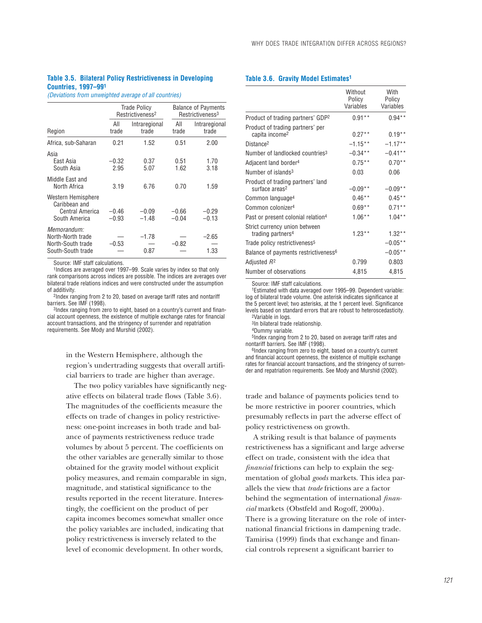### **Table 3.5. Bilateral Policy Restrictiveness in Developing Countries, 1997–991**

*(Deviations from unweighted average of all countries)*

|                                                                            |                    | <b>Trade Policy</b><br>Restrictiveness <sup>2</sup> |                    | <b>Balance of Payments</b><br>Restrictiveness <sup>3</sup> |  |
|----------------------------------------------------------------------------|--------------------|-----------------------------------------------------|--------------------|------------------------------------------------------------|--|
| Region                                                                     | All<br>trade       | Intraregional<br>trade                              | All<br>trade       | Intraregional<br>trade                                     |  |
| Africa, sub-Saharan                                                        | 0.21               | 1.52                                                | 0.51               | 2.00                                                       |  |
| Asia<br>East Asia<br>South Asia                                            | $-0.32$<br>2.95    | 0.37<br>5.07                                        | 0.51<br>1.62       | 1.70<br>3.18                                               |  |
| Middle East and<br>North Africa                                            | 3.19               | 6.76                                                | 0.70               | 1.59                                                       |  |
| Western Hemisphere<br>Caribbean and<br>Central America<br>South America    | $-0.46$<br>$-0.93$ | $-0.09$<br>$-1.48$                                  | $-0.66$<br>$-0.04$ | $-0.29$<br>$-0.13$                                         |  |
| Memorandum:<br>North-North trade<br>North-South trade<br>South-South trade | $-0.53$            | $-1.78$<br>0.87                                     | $-0.82$            | $-2.65$<br>1.33                                            |  |

Source: IMF staff calculations.

1Indices are averaged over 1997–99. Scale varies by index so that only rank comparisons across indices are possible. The indices are averages over bilateral trade relations indices and were constructed under the assumption of additivity.

2Index ranging from 2 to 20, based on average tariff rates and nontariff barriers. See IMF (1998).

3Index ranging from zero to eight, based on a country's current and financial account openness, the existence of multiple exchange rates for financial account transactions, and the stringency of surrender and repatriation requirements. See Mody and Murshid (2002).

> in the Western Hemisphere, although the region's undertrading suggests that overall artificial barriers to trade are higher than average.

> The two policy variables have significantly negative effects on bilateral trade flows (Table 3.6). The magnitudes of the coefficients measure the effects on trade of changes in policy restrictiveness: one-point increases in both trade and balance of payments restrictiveness reduce trade volumes by about 5 percent. The coefficients on the other variables are generally similar to those obtained for the gravity model without explicit policy measures, and remain comparable in sign, magnitude, and statistical significance to the results reported in the recent literature. Interestingly, the coefficient on the product of per capita incomes becomes somewhat smaller once the policy variables are included, indicating that policy restrictiveness is inversely related to the level of economic development. In other words,

### **Table 3.6. Gravity Model Estimates1**

|                                                                 | Without<br>Policy<br>Variables | With<br>Policy<br>Variables |
|-----------------------------------------------------------------|--------------------------------|-----------------------------|
| Product of trading partners' GDP <sup>2</sup>                   | $0.91***$                      | $0.94**$                    |
| Product of trading partners' per<br>capita income <sup>2</sup>  | $0.27**$                       | $0.19**$                    |
| Distance <sup>2</sup>                                           | $-1.15**$                      | $-1.17**$                   |
| Number of landlocked countries <sup>3</sup>                     | $-0.34**$                      | $-0.41**$                   |
| Adjacent land border <sup>4</sup>                               | $0.75***$                      | $0.70**$                    |
| Number of islands <sup>3</sup>                                  | 0.03                           | 0.06                        |
| Product of trading partners' land<br>surface areas <sup>2</sup> | $-0.09**$                      | $-0.09**$                   |
| Common language <sup>4</sup>                                    | $0.46**$                       | $0.45**$                    |
| Common colonizer <sup>4</sup>                                   | $0.69**$                       | $0.71***$                   |
| Past or present colonial relation <sup>4</sup>                  | $1.06***$                      | $1.04***$                   |
| Strict currency union between<br>trading partners <sup>4</sup>  | $1.23**$                       | $1.32**$                    |
| Trade policy restrictiveness <sup>5</sup>                       |                                | $-0.05**$                   |
| Balance of payments restrictiveness <sup>6</sup>                |                                | $-0.05**$                   |
| Adjusted <i>R</i> 2                                             | 0.799                          | 0.803                       |
| Number of observations                                          | 4,815                          | 4,815                       |

Source: IMF staff calculations.

1Estimated with data averaged over 1995–99. Dependent variable: log of bilateral trade volume. One asterisk indicates significance at the 5 percent level; two asterisks, at the 1 percent level. Significance levels based on standard errors that are robust to heteroscedasticity. 2Variable in logs.

3In bilateral trade relationship.

4Dummy variable.

5Index ranging from 2 to 20, based on average tariff rates and nontariff barriers. See IMF (1998).

6Index ranging from zero to eight, based on a country's current and financial account openness, the existence of multiple exchange rates for financial account transactions, and the stringency of surrender and repatriation requirements. See Mody and Murshid (2002).

trade and balance of payments policies tend to be more restrictive in poorer countries, which presumably reflects in part the adverse effect of policy restrictiveness on growth.

A striking result is that balance of payments restrictiveness has a significant and large adverse effect on trade, consistent with the idea that *financial* frictions can help to explain the segmentation of global *goods* markets. This idea parallels the view that *trade* frictions are a factor behind the segmentation of international *financial* markets (Obstfeld and Rogoff, 2000a). There is a growing literature on the role of international financial frictions in dampening trade. Tamirisa (1999) finds that exchange and financial controls represent a significant barrier to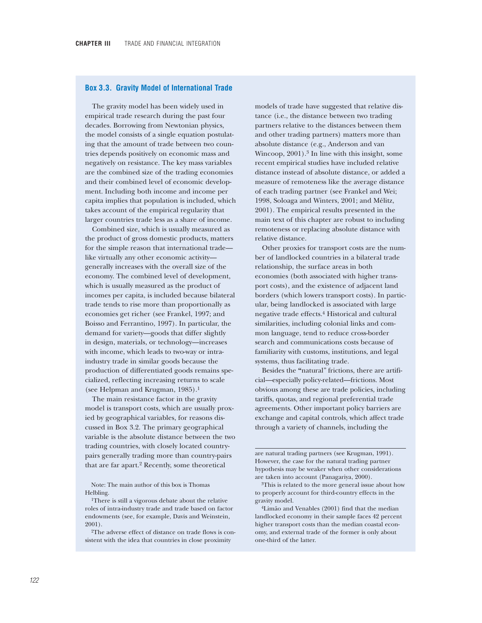### **Box 3.3. Gravity Model of International Trade**

The gravity model has been widely used in empirical trade research during the past four decades. Borrowing from Newtonian physics, the model consists of a single equation postulating that the amount of trade between two countries depends positively on economic mass and negatively on resistance. The key mass variables are the combined size of the trading economies and their combined level of economic development. Including both income and income per capita implies that population is included, which takes account of the empirical regularity that larger countries trade less as a share of income.

Combined size, which is usually measured as the product of gross domestic products, matters for the simple reason that international trade like virtually any other economic activity generally increases with the overall size of the economy. The combined level of development, which is usually measured as the product of incomes per capita, is included because bilateral trade tends to rise more than proportionally as economies get richer (see Frankel, 1997; and Boisso and Ferrantino, 1997). In particular, the demand for variety—goods that differ slightly in design, materials, or technology—increases with income, which leads to two-way or intraindustry trade in similar goods because the production of differentiated goods remains specialized, reflecting increasing returns to scale (see Helpman and Krugman, 1985).1

The main resistance factor in the gravity model is transport costs, which are usually proxied by geographical variables, for reasons discussed in Box 3.2. The primary geographical variable is the absolute distance between the two trading countries, with closely located countrypairs generally trading more than country-pairs that are far apart.2 Recently, some theoretical

Note: The main author of this box is Thomas Helbling.

models of trade have suggested that relative distance (i.e., the distance between two trading partners relative to the distances between them and other trading partners) matters more than absolute distance (e.g., Anderson and van Wincoop,  $2001$ ).<sup>3</sup> In line with this insight, some recent empirical studies have included relative distance instead of absolute distance, or added a measure of remoteness like the average distance of each trading partner (see Frankel and Wei; 1998, Soloaga and Winters, 2001; and Mélitz, 2001). The empirical results presented in the main text of this chapter are robust to including remoteness or replacing absolute distance with relative distance.

Other proxies for transport costs are the number of landlocked countries in a bilateral trade relationship, the surface areas in both economies (both associated with higher transport costs), and the existence of adjacent land borders (which lowers transport costs). In particular, being landlocked is associated with large negative trade effects.4 Historical and cultural similarities, including colonial links and common language, tend to reduce cross-border search and communications costs because of familiarity with customs, institutions, and legal systems, thus facilitating trade.

Besides the **"**natural" frictions, there are artificial—especially policy-related—frictions. Most obvious among these are trade policies, including tariffs, quotas, and regional preferential trade agreements. Other important policy barriers are exchange and capital controls, which affect trade through a variety of channels, including the

are natural trading partners (see Krugman, 1991). However, the case for the natural trading partner hypothesis may be weaker when other considerations are taken into account (Panagariya, 2000).

4Limão and Venables (2001) find that the median landlocked economy in their sample faces 42 percent higher transport costs than the median coastal economy, and external trade of the former is only about one-third of the latter.

<sup>1</sup>There is still a vigorous debate about the relative roles of intra-industry trade and trade based on factor endowments (see, for example, Davis and Weinstein, 2001).

<sup>2</sup>The adverse effect of distance on trade flows is consistent with the idea that countries in close proximity

<sup>3</sup>This is related to the more general issue about how to properly account for third-country effects in the gravity model.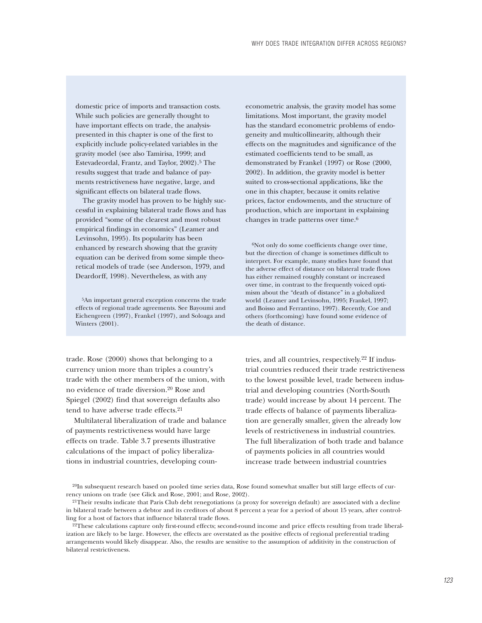domestic price of imports and transaction costs. While such policies are generally thought to have important effects on trade, the analysispresented in this chapter is one of the first to explicitly include policy-related variables in the gravity model (see also Tamirisa, 1999; and Estevadeordal, Frantz, and Taylor, 2002).5 The results suggest that trade and balance of payments restrictiveness have negative, large, and significant effects on bilateral trade flows.

The gravity model has proven to be highly successful in explaining bilateral trade flows and has provided "some of the clearest and most robust empirical findings in economics" (Leamer and Levinsohn, 1995). Its popularity has been enhanced by research showing that the gravity equation can be derived from some simple theoretical models of trade (see Anderson, 1979, and Deardorff, 1998). Nevertheless, as with any

5An important general exception concerns the trade effects of regional trade agreements. See Bayoumi and Eichengreen (1997), Frankel (1997), and Soloaga and Winters (2001).

trade. Rose (2000) shows that belonging to a currency union more than triples a country's trade with the other members of the union, with no evidence of trade diversion.20 Rose and Spiegel (2002) find that sovereign defaults also tend to have adverse trade effects.21

Multilateral liberalization of trade and balance of payments restrictiveness would have large effects on trade. Table 3.7 presents illustrative calculations of the impact of policy liberalizations in industrial countries, developing couneconometric analysis, the gravity model has some limitations. Most important, the gravity model has the standard econometric problems of endogeneity and multicollinearity, although their effects on the magnitudes and significance of the estimated coefficients tend to be small, as demonstrated by Frankel (1997) or Rose (2000, 2002). In addition, the gravity model is better suited to cross-sectional applications, like the one in this chapter, because it omits relative prices, factor endowments, and the structure of production, which are important in explaining changes in trade patterns over time.6

 $6$ Not only do some coefficients change over time, but the direction of change is sometimes difficult to interpret. For example, many studies have found that the adverse effect of distance on bilateral trade flows has either remained roughly constant or increased over time, in contrast to the frequently voiced optimism about the "death of distance" in a globalized world (Leamer and Levinsohn, 1995; Frankel, 1997; and Boisso and Ferrantino, 1997). Recently, Coe and others (forthcoming) have found some evidence of the death of distance.

tries, and all countries, respectively.22 If industrial countries reduced their trade restrictiveness to the lowest possible level, trade between industrial and developing countries (North-South trade) would increase by about 14 percent. The trade effects of balance of payments liberalization are generally smaller, given the already low levels of restrictiveness in industrial countries. The full liberalization of both trade and balance of payments policies in all countries would increase trade between industrial countries

20In subsequent research based on pooled time series data, Rose found somewhat smaller but still large effects of currency unions on trade (see Glick and Rose, 2001; and Rose, 2002).

<sup>21</sup>Their results indicate that Paris Club debt renegotiations (a proxy for sovereign default) are associated with a decline in bilateral trade between a debtor and its creditors of about 8 percent a year for a period of about 15 years, after controlling for a host of factors that influence bilateral trade flows.

<sup>22</sup>These calculations capture only first-round effects; second-round income and price effects resulting from trade liberalization are likely to be large. However, the effects are overstated as the positive effects of regional preferential trading arrangements would likely disappear. Also, the results are sensitive to the assumption of additivity in the construction of bilateral restrictiveness.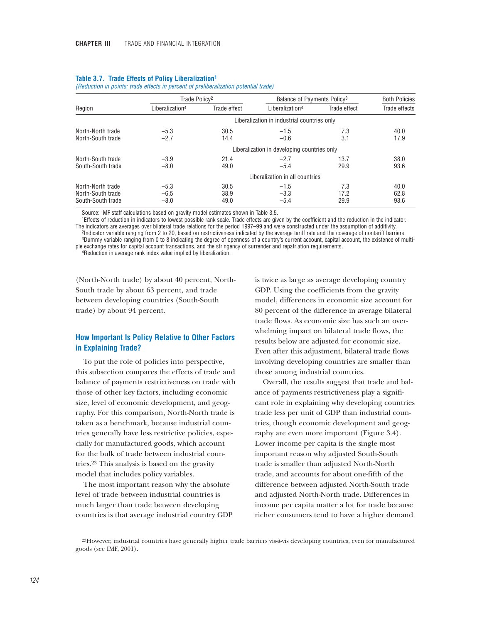|                                                             | Trade Policy <sup>2</sup>   |                      | Balance of Payments Policy <sup>3</sup>     |                     | <b>Both Policies</b> |
|-------------------------------------------------------------|-----------------------------|----------------------|---------------------------------------------|---------------------|----------------------|
| Region                                                      | Liberalization <sup>4</sup> | Trade effect         | Liberalization <sup>4</sup>                 | Trade effect        | Trade effects        |
|                                                             |                             |                      | Liberalization in industrial countries only |                     |                      |
| North-North trade<br>North-South trade                      | $-5.3$<br>$-2.7$            | 30.5<br>14.4         | $-1.5$<br>$-0.6$                            | 7.3<br>3.1          | 40.0<br>17.9         |
|                                                             |                             |                      | Liberalization in developing countries only |                     |                      |
| North-South trade<br>South-South trade                      | $-3.9$<br>$-8.0$            | 21.4<br>49.0         | $-2.7$<br>$-5.4$                            | 13.7<br>29.9        | 38.0<br>93.6         |
|                                                             |                             |                      | Liberalization in all countries             |                     |                      |
| North-North trade<br>North-South trade<br>South-South trade | $-5.3$<br>$-6.5$<br>$-8.0$  | 30.5<br>38.9<br>49.0 | $-1.5$<br>$-3.3$<br>$-5.4$                  | 7.3<br>17.2<br>29.9 | 40.0<br>62.8<br>93.6 |

### **Table 3.7. Trade Effects of Policy Liberalization1**

*(Reduction in points; trade effects in percent of preliberalization potential trade)*

Source: IMF staff calculations based on gravity model estimates shown in Table 3.5.

1Effects of reduction in indicators to lowest possible rank scale. Trade effects are given by the coefficient and the reduction in the indicator. The indicators are averages over bilateral trade relations for the period 1997–99 and were constructed under the assumption of additivity. 2Indicator variable ranging from 2 to 20, based on restrictiveness indicated by the average tariff rate and the coverage of nontariff barriers. 3Dummy variable ranging from 0 to 8 indicating the degree of openness of a country's current account, capital account, the existence of multiple exchange rates for capital account transactions, and the stringency of surrender and repatriation requirements.

4Reduction in average rank index value implied by liberalization.

(North-North trade) by about 40 percent, North-South trade by about 63 percent, and trade between developing countries (South-South trade) by about 94 percent.

# **How Important Is Policy Relative to Other Factors in Explaining Trade?**

To put the role of policies into perspective, this subsection compares the effects of trade and balance of payments restrictiveness on trade with those of other key factors, including economic size, level of economic development, and geography. For this comparison, North-North trade is taken as a benchmark, because industrial countries generally have less restrictive policies, especially for manufactured goods, which account for the bulk of trade between industrial countries.23 This analysis is based on the gravity model that includes policy variables.

The most important reason why the absolute level of trade between industrial countries is much larger than trade between developing countries is that average industrial country GDP

is twice as large as average developing country GDP. Using the coefficients from the gravity model, differences in economic size account for 80 percent of the difference in average bilateral trade flows. As economic size has such an overwhelming impact on bilateral trade flows, the results below are adjusted for economic size. Even after this adjustment, bilateral trade flows involving developing countries are smaller than those among industrial countries.

Overall, the results suggest that trade and balance of payments restrictiveness play a significant role in explaining why developing countries trade less per unit of GDP than industrial countries, though economic development and geography are even more important (Figure 3.4). Lower income per capita is the single most important reason why adjusted South-South trade is smaller than adjusted North-North trade, and accounts for about one-fifth of the difference between adjusted North-South trade and adjusted North-North trade. Differences in income per capita matter a lot for trade because richer consumers tend to have a higher demand

<sup>23</sup>However, industrial countries have generally higher trade barriers vis-à-vis developing countries, even for manufactured goods (see IMF, 2001).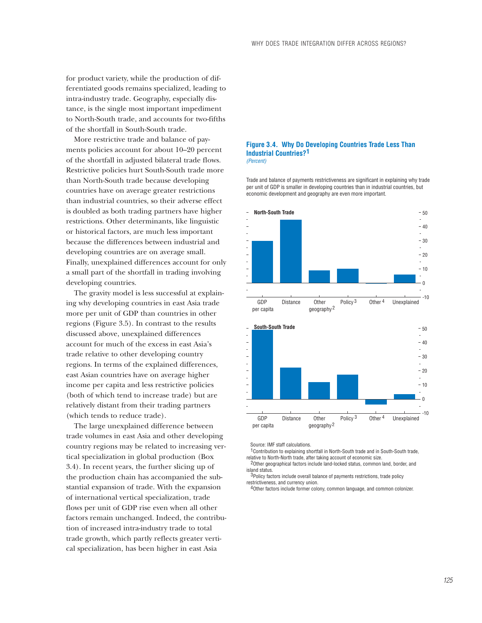for product variety, while the production of differentiated goods remains specialized, leading to intra-industry trade. Geography, especially distance, is the single most important impediment to North-South trade, and accounts for two-fifths of the shortfall in South-South trade.

More restrictive trade and balance of payments policies account for about 10–20 percent of the shortfall in adjusted bilateral trade flows. Restrictive policies hurt South-South trade more than North-South trade because developing countries have on average greater restrictions than industrial countries, so their adverse effect is doubled as both trading partners have higher restrictions. Other determinants, like linguistic or historical factors, are much less important because the differences between industrial and developing countries are on average small. Finally, unexplained differences account for only a small part of the shortfall in trading involving developing countries.

The gravity model is less successful at explaining why developing countries in east Asia trade more per unit of GDP than countries in other regions (Figure 3.5). In contrast to the results discussed above, unexplained differences account for much of the excess in east Asia's trade relative to other developing country regions. In terms of the explained differences, east Asian countries have on average higher income per capita and less restrictive policies (both of which tend to increase trade) but are relatively distant from their trading partners (which tends to reduce trade).

The large unexplained difference between trade volumes in east Asia and other developing country regions may be related to increasing vertical specialization in global production (Box 3.4). In recent years, the further slicing up of the production chain has accompanied the substantial expansion of trade. With the expansion of international vertical specialization, trade flows per unit of GDP rise even when all other factors remain unchanged. Indeed, the contribution of increased intra-industry trade to total trade growth, which partly reflects greater vertical specialization, has been higher in east Asia

#### **Figure 3.4. Why Do Developing Countries Trade Less Than Industrial Countries? 1** *(Percent)*

Trade and balance of payments restrictiveness are significant in explaining why trade per unit of GDP is smaller in developing countries than in industrial countries, but economic development and geography are even more important.



Source: IMF staff calculations.

<sup>1</sup> Contribution to explaining shortfall in North-South trade and in South-South trade, relative to North-North trade, after taking account of economic size.

<sup>2</sup>Other geographical factors include land-locked status, common land, border, and island status.

<sup>3</sup>Policy factors include overall balance of payments restrictions, trade policy restrictiveness, and currency union.

4 Other factors include former colony, common language, and common colonizer.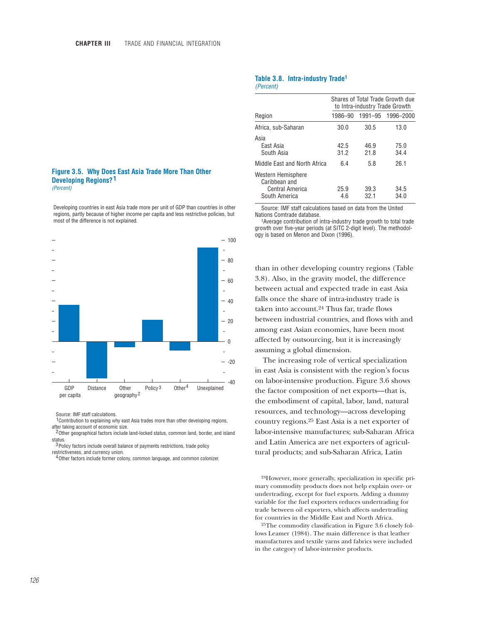#### **Figure 3.5. Why Does East Asia Trade More Than Other Developing Regions? 1** *(Percent)*

Developing countries in east Asia trade more per unit of GDP than countries in other regions, partly because of higher income per capita and less restrictive policies, but most of the difference is not explained.



Source: IMF staff calculations.

<sup>1</sup> Contribution to explaining why east Asia trades more than other developing regions, after taking account of economic size.

<sup>2</sup> Other geographical factors include land-locked status, common land, border, and island status.

<sup>3</sup> Policy factors include overall balance of payments restrictions, trade policy restrictiveness, and currency union.

<sup>4</sup> Other factors include former colony, common language, and common colonizer.

# **Table 3.8. Intra-industry Trade1**

*(Percent)*

| Shares of Total Trade Growth due<br>to Intra-industry Trade Growth |              |                   |  |
|--------------------------------------------------------------------|--------------|-------------------|--|
| 1986-90                                                            |              | 1991-95 1996-2000 |  |
| 30.0                                                               | 30.5         | 13.0              |  |
| 42.5<br>31.2                                                       | 46.9<br>21.8 | 75.0<br>34.4      |  |
| 6.4                                                                | 5.8          | 26.1              |  |
| 25.9<br>4.6                                                        | 39.3<br>32.1 | 34.5<br>34.0      |  |
|                                                                    |              |                   |  |

Source: IMF staff calculations based on data from the United

1Average contribution of intra-industry trade growth to total trade growth over five-year periods (at SITC 2-digit level). The methodology is based on Menon and Dixon (1996).

than in other developing country regions (Table 3.8). Also, in the gravity model, the difference between actual and expected trade in east Asia falls once the share of intra-industry trade is taken into account.24 Thus far, trade flows between industrial countries, and flows with and among east Asian economies, have been most affected by outsourcing, but it is increasingly assuming a global dimension.

The increasing role of vertical specialization in east Asia is consistent with the region's focus on labor-intensive production. Figure 3.6 shows the factor composition of net exports—that is, the embodiment of capital, labor, land, natural resources, and technology—across developing country regions.25 East Asia is a net exporter of labor-intensive manufactures; sub-Saharan Africa and Latin America are net exporters of agricultural products; and sub-Saharan Africa, Latin

24However, more generally, specialization in specific primary commodity products does not help explain over- or undertrading, except for fuel exports. Adding a dummy variable for the fuel exporters reduces undertrading for trade between oil exporters, which affects undertrading for countries in the Middle East and North Africa.

25The commodity classification in Figure 3.6 closely follows Leamer (1984). The main difference is that leather manufactures and textile yarns and fabrics were included in the category of labor-intensive products.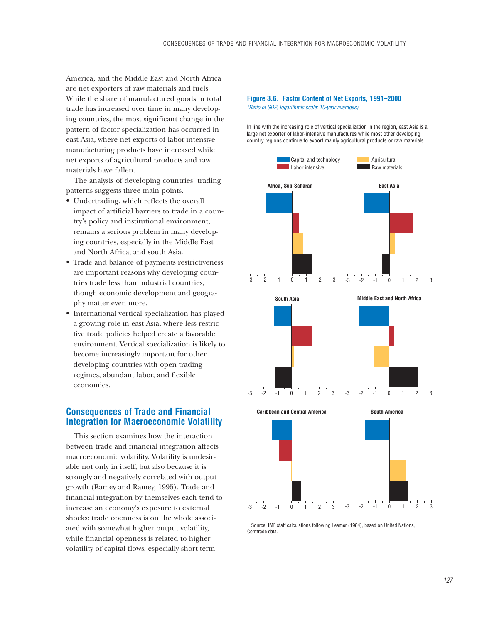America, and the Middle East and North Africa are net exporters of raw materials and fuels. While the share of manufactured goods in total trade has increased over time in many developing countries, the most significant change in the pattern of factor specialization has occurred in east Asia, where net exports of labor-intensive manufacturing products have increased while net exports of agricultural products and raw materials have fallen.

The analysis of developing countries' trading patterns suggests three main points.

- Undertrading, which reflects the overall impact of artificial barriers to trade in a country's policy and institutional environment, remains a serious problem in many developing countries, especially in the Middle East and North Africa, and south Asia.
- Trade and balance of payments restrictiveness are important reasons why developing countries trade less than industrial countries, though economic development and geography matter even more.
- International vertical specialization has played a growing role in east Asia, where less restrictive trade policies helped create a favorable environment. Vertical specialization is likely to become increasingly important for other developing countries with open trading regimes, abundant labor, and flexible economies.

# **Consequences of Trade and Financial Integration for Macroeconomic Volatility**

This section examines how the interaction between trade and financial integration affects macroeconomic volatility. Volatility is undesirable not only in itself, but also because it is strongly and negatively correlated with output growth (Ramey and Ramey, 1995). Trade and financial integration by themselves each tend to increase an economy's exposure to external shocks: trade openness is on the whole associated with somewhat higher output volatility, while financial openness is related to higher volatility of capital flows, especially short-term

### **Figure 3.6. Factor Content of Net Exports, 1991–2000** *(Ratio of GDP; logarithmic scale; 10-year averages)*

In line with the increasing role of vertical specialization in the region, east Asia is a large net exporter of labor-intensive manufactures while most other developing country regions continue to export mainly agricultural products or raw materials.



 Source: IMF staff calculations following Leamer (1984), based on United Nations, Comtrade data.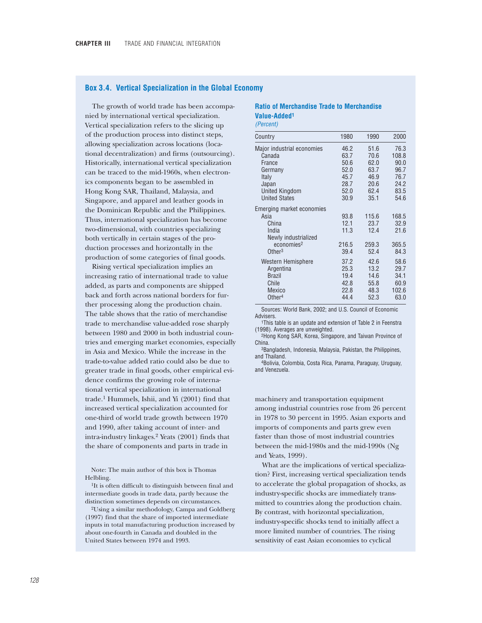### **Box 3.4. Vertical Specialization in the Global Economy**

The growth of world trade has been accompanied by international vertical specialization. Vertical specialization refers to the slicing up of the production process into distinct steps, allowing specialization across locations (locational decentralization) and firms (outsourcing). Historically, international vertical specialization can be traced to the mid-1960s, when electronics components began to be assembled in Hong Kong SAR, Thailand, Malaysia, and Singapore, and apparel and leather goods in the Dominican Republic and the Philippines. Thus, international specialization has become two-dimensional, with countries specializing both vertically in certain stages of the production processes and horizontally in the production of some categories of final goods.

Rising vertical specialization implies an increasing ratio of international trade to value added, as parts and components are shipped back and forth across national borders for further processing along the production chain. The table shows that the ratio of merchandise trade to merchandise value-added rose sharply between 1980 and 2000 in both industrial countries and emerging market economies, especially in Asia and Mexico. While the increase in the trade-to-value added ratio could also be due to greater trade in final goods, other empirical evidence confirms the growing role of international vertical specialization in international trade.1 Hummels, Ishii, and Yi (2001) find that increased vertical specialization accounted for one-third of world trade growth between 1970 and 1990, after taking account of inter- and intra-industry linkages.2 Yeats (2001) finds that the share of components and parts in trade in

Note: The main author of this box is Thomas Helbling.

<sup>1</sup>It is often difficult to distinguish between final and intermediate goods in trade data, partly because the distinction sometimes depends on circumstances.

2Using a similar methodology, Campa and Goldberg (1997) find that the share of imported intermediate inputs in total manufacturing production increased by about one-fourth in Canada and doubled in the United States between 1974 and 1993.

# **Ratio of Merchandise Trade to Merchandise Value-Added1**

*(Percent)*

| Country                                                                                                                     | 1980                                  | 1990                                   | 2000                                   |
|-----------------------------------------------------------------------------------------------------------------------------|---------------------------------------|----------------------------------------|----------------------------------------|
| Major industrial economies                                                                                                  | 46.2                                  | 51.6                                   | 76.3                                   |
| Canada                                                                                                                      | 63.7                                  | 70.6                                   | 108.8                                  |
| France                                                                                                                      | 50.6                                  | 62.0                                   | 90.0                                   |
| Germany                                                                                                                     | 52.0                                  | 63.7                                   | 96.7                                   |
| Italy                                                                                                                       | 45.7                                  | 46.9                                   | 76.7                                   |
| Japan                                                                                                                       | 28.7                                  | 20.6                                   | 24.2                                   |
| <b>United Kingdom</b>                                                                                                       | 52.0                                  | 62.4                                   | 83.5                                   |
| <b>United States</b>                                                                                                        | 30.9                                  | 35.1                                   | 54.6                                   |
| Emerging market economies<br>Asia<br>China<br>India<br>Newly industrialized<br>economies <sup>2</sup><br>Other <sup>3</sup> | 93.8<br>12.1<br>11.3<br>216.5<br>39.4 | 115.6<br>23.7<br>12.4<br>259.3<br>52.4 | 168.5<br>32.9<br>21.6<br>365.5<br>84.3 |
| Western Hemisphere                                                                                                          | 37.2                                  | 42.6                                   | 58.6                                   |
| Argentina                                                                                                                   | 25.3                                  | 13.2                                   | 29.7                                   |
| <b>Brazil</b>                                                                                                               | 19.4                                  | 14.6                                   | 34.1                                   |
| Chile                                                                                                                       | 42.8                                  | 55.8                                   | 60.9                                   |
| Mexico                                                                                                                      | 22.8                                  | 48.3                                   | 102.6                                  |
| Other <sup>4</sup>                                                                                                          | 44.4                                  | 52.3                                   | 63.0                                   |

Sources: World Bank, 2002; and U.S. Council of Economic Advisers.

1This table is an update and extension of Table 2 in Feenstra (1998). Averages are unweighted.

2Hong Kong SAR, Korea, Singapore, and Taiwan Province of China.

3Bangladesh, Indonesia, Malaysia, Pakistan, the Philippines, and Thailand.

4Bolivia, Colombia, Costa Rica, Panama, Paraguay, Uruguay, and Venezuela.

machinery and transportation equipment among industrial countries rose from 26 percent in 1978 to 30 percent in 1995. Asian exports and imports of components and parts grew even faster than those of most industrial countries between the mid-1980s and the mid-1990s (Ng and Yeats, 1999).

What are the implications of vertical specialization? First, increasing vertical specialization tends to accelerate the global propagation of shocks, as industry-specific shocks are immediately transmitted to countries along the production chain. By contrast, with horizontal specialization, industry-specific shocks tend to initially affect a more limited number of countries. The rising sensitivity of east Asian economies to cyclical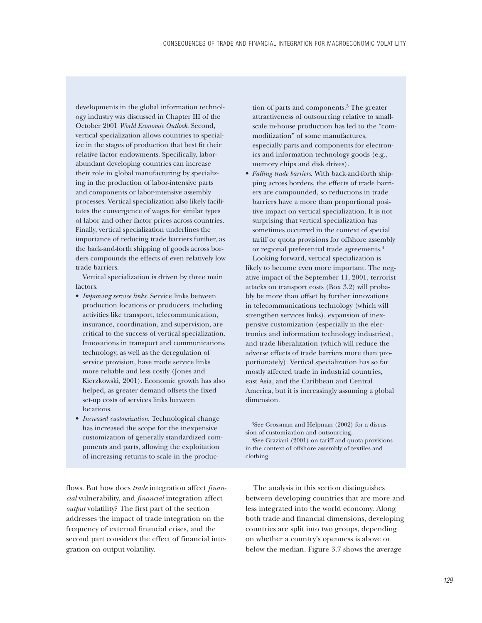developments in the global information technology industry was discussed in Chapter III of the October 2001 *World Economic Outlook*. Second, vertical specialization allows countries to specialize in the stages of production that best fit their relative factor endowments. Specifically, laborabundant developing countries can increase their role in global manufacturing by specializing in the production of labor-intensive parts and components or labor-intensive assembly processes. Vertical specialization also likely facilitates the convergence of wages for similar types of labor and other factor prices across countries. Finally, vertical specialization underlines the importance of reducing trade barriers further, as the back-and-forth shipping of goods across borders compounds the effects of even relatively low trade barriers.

Vertical specialization is driven by three main factors.

- *Improving service links*. Service links between production locations or producers, including activities like transport, telecommunication, insurance, coordination, and supervision, are critical to the success of vertical specialization. Innovations in transport and communications technology, as well as the deregulation of service provision, have made service links more reliable and less costly (Jones and Kierzkowski, 2001). Economic growth has also helped, as greater demand offsets the fixed set-up costs of services links between **locations**
- *Increased customization*. Technological change has increased the scope for the inexpensive customization of generally standardized components and parts, allowing the exploitation of increasing returns to scale in the produc-

flows. But how does *trade* integration affect *financial* vulnerability, and *financial* integration affect *output* volatility? The first part of the section addresses the impact of trade integration on the frequency of external financial crises, and the second part considers the effect of financial integration on output volatility.

tion of parts and components.3 The greater attractiveness of outsourcing relative to smallscale in-house production has led to the "commoditization" of some manufactures, especially parts and components for electronics and information technology goods (e.g., memory chips and disk drives).

• *Falling trade barriers*. With back-and-forth shipping across borders, the effects of trade barriers are compounded, so reductions in trade barriers have a more than proportional positive impact on vertical specialization. It is not surprising that vertical specialization has sometimes occurred in the context of special tariff or quota provisions for offshore assembly or regional preferential trade agreements.4 Looking forward, vertical specialization is

likely to become even more important. The negative impact of the September 11, 2001, terrorist attacks on transport costs (Box 3.2) will probably be more than offset by further innovations in telecommunications technology (which will strengthen services links), expansion of inexpensive customization (especially in the electronics and information technology industries), and trade liberalization (which will reduce the adverse effects of trade barriers more than proportionately). Vertical specialization has so far mostly affected trade in industrial countries, east Asia, and the Caribbean and Central America, but it is increasingly assuming a global dimension.

3See Grossman and Helpman (2002) for a discussion of customization and outsourcing.

4See Graziani (2001) on tariff and quota provisions in the context of offshore assembly of textiles and clothing.

The analysis in this section distinguishes between developing countries that are more and less integrated into the world economy. Along both trade and financial dimensions, developing countries are split into two groups, depending on whether a country's openness is above or below the median. Figure 3.7 shows the average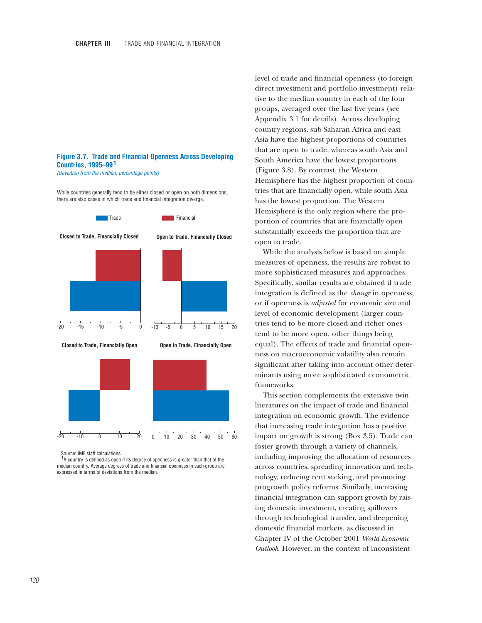# **Figure 3.7. Trade and Financial Openness Across Developing Countries, 1995–99 1**

*(Deviation from the median, percentage points)*

While countries generally tend to be either closed or open on both dimensions, there are also cases in which trade and financial integration diverge.



Source: IMF staff calculations.

 $1A$  country is defined as open if its degree of openness is greater than that of the median country. Average degrees of trade and financial openness in each group are expressed in terms of deviations from the median.

level of trade and financial openness (to foreign direct investment and portfolio investment) relative to the median country in each of the four groups, averaged over the last five years (see Appendix 3.1 for details). Across developing country regions, sub-Saharan Africa and east Asia have the highest proportions of countries that are open to trade, whereas south Asia and South America have the lowest proportions (Figure 3.8). By contrast, the Western Hemisphere has the highest proportion of countries that are financially open, while south Asia has the lowest proportion. The Western Hemisphere is the only region where the proportion of countries that are financially open substantially exceeds the proportion that are open to trade.

While the analysis below is based on simple measures of openness, the results are robust to more sophisticated measures and approaches. Specifically, similar results are obtained if trade integration is defined as the *change* in openness, or if openness is *adjusted* for economic size and level of economic development (larger countries tend to be more closed and richer ones tend to be more open, other things being equal). The effects of trade and financial openness on macroeconomic volatility also remain significant after taking into account other determinants using more sophisticated econometric frameworks.

This section complements the extensive twin literatures on the impact of trade and financial integration on economic growth. The evidence that increasing trade integration has a positive impact on growth is strong (Box 3.5). Trade can foster growth through a variety of channels, including improving the allocation of resources across countries, spreading innovation and technology, reducing rent seeking, and promoting progrowth policy reforms. Similarly, increasing financial integration can support growth by raising domestic investment, creating spillovers through technological transfer, and deepening domestic financial markets, as discussed in Chapter IV of the October 2001 *World Economic Outlook*. However, in the context of inconsistent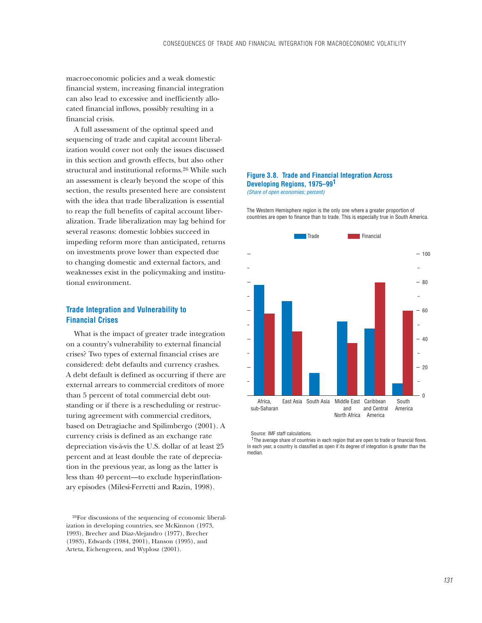macroeconomic policies and a weak domestic financial system, increasing financial integration can also lead to excessive and inefficiently allocated financial inflows, possibly resulting in a financial crisis.

A full assessment of the optimal speed and sequencing of trade and capital account liberalization would cover not only the issues discussed in this section and growth effects, but also other structural and institutional reforms.26 While such an assessment is clearly beyond the scope of this section, the results presented here are consistent with the idea that trade liberalization is essential to reap the full benefits of capital account liberalization. Trade liberalization may lag behind for several reasons: domestic lobbies succeed in impeding reform more than anticipated, returns on investments prove lower than expected due to changing domestic and external factors, and weaknesses exist in the policymaking and institutional environment.

# **Trade Integration and Vulnerability to Financial Crises**

What is the impact of greater trade integration on a country's vulnerability to external financial crises? Two types of external financial crises are considered: debt defaults and currency crashes. A debt default is defined as occurring if there are external arrears to commercial creditors of more than 5 percent of total commercial debt outstanding or if there is a rescheduling or restructuring agreement with commercial creditors, based on Detragiache and Spilimbergo (2001). A currency crisis is defined as an exchange rate depreciation vis-à-vis the U.S. dollar of at least 25 percent and at least double the rate of depreciation in the previous year, as long as the latter is less than 40 percent—to exclude hyperinflationary episodes (Milesi-Ferretti and Razin, 1998).

26For discussions of the sequencing of economic liberalization in developing countries, see McKinnon (1973, 1993), Brecher and Diaz-Alejandro (1977), Brecher (1983), Edwards (1984, 2001), Hanson (1995), and Arteta, Eichengreen, and Wyplosz (2001).

### **Figure 3.8. Trade and Financial Integration Across Developing Regions, 1975–99 1** *(Share of open economies; percent)*

The Western Hemisphere region is the only one where a greater proportion of countries are open to finance than to trade. This is especially true in South America.



Source: IMF staff calculations.

<sup>1</sup>The average share of countries in each region that are open to trade or financial flows. In each year, a country is classified as open if its degree of integration is greater than the median.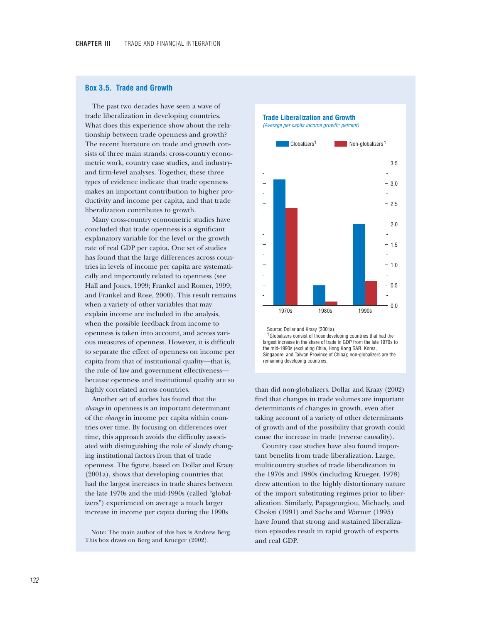### **Box 3.5. Trade and Growth**

The past two decades have seen a wave of trade liberalization in developing countries. What does this experience show about the relationship between trade openness and growth? The recent literature on trade and growth consists of three main strands: cross-country econometric work, country case studies, and industryand firm-level analyses. Together, these three types of evidence indicate that trade openness makes an important contribution to higher productivity and income per capita, and that trade liberalization contributes to growth.

Many cross-country econometric studies have concluded that trade openness is a significant explanatory variable for the level or the growth rate of real GDP per capita. One set of studies has found that the large differences across countries in levels of income per capita are systematically and importantly related to openness (see Hall and Jones, 1999; Frankel and Romer, 1999; and Frankel and Rose, 2000). This result remains when a variety of other variables that may explain income are included in the analysis, when the possible feedback from income to openness is taken into account, and across various measures of openness. However, it is difficult to separate the effect of openness on income per capita from that of institutional quality—that is, the rule of law and government effectiveness because openness and institutional quality are so highly correlated across countries.

Another set of studies has found that the *change* in openness is an important determinant of the *change* in income per capita within countries over time. By focusing on differences over time, this approach avoids the difficulty associated with distinguishing the role of slowly changing institutional factors from that of trade openness. The figure, based on Dollar and Kraay (2001a), shows that developing countries that had the largest increases in trade shares between the late 1970s and the mid-1990s (called "globalizers") experienced on average a much larger increase in income per capita during the 1990s

Note: The main author of this box is Andrew Berg. This box draws on Berg and Krueger (2002).

**Trade Liberalization and Growth**

*(Average per capita income growth; percent)*



 Source: Dollar and Kraay (2001a).  $1$  Globalizers consist of those developing countries that had the largest increase in the share of trade in GDP from the late 1970s to the mid-1990s (excluding Chile, Hong Kong SAR, Korea, Singapore, and Taiwan Province of China); non-globalizers are the remaining developing countries.

than did non-globalizers. Dollar and Kraay (2002) find that changes in trade volumes are important determinants of changes in growth, even after taking account of a variety of other determinants of growth and of the possibility that growth could cause the increase in trade (reverse causality).

Country case studies have also found important benefits from trade liberalization. Large, multicountry studies of trade liberalization in the 1970s and 1980s (including Krueger, 1978) drew attention to the highly distortionary nature of the import substituting regimes prior to liberalization. Similarly, Papageorgiou, Michaely, and Choksi (1991) and Sachs and Warner (1995) have found that strong and sustained liberalization episodes result in rapid growth of exports and real GDP.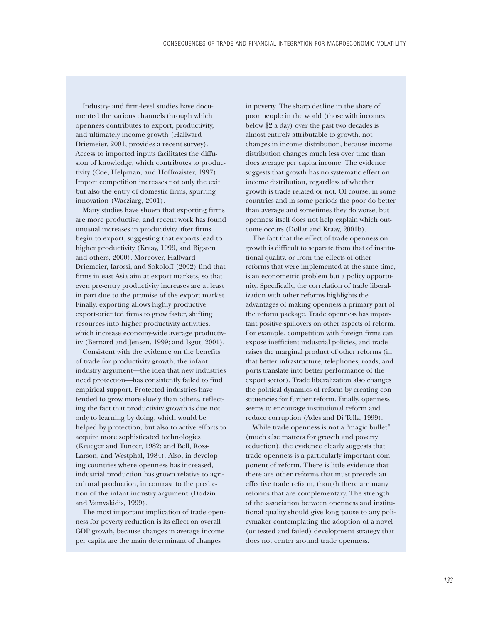Industry- and firm-level studies have documented the various channels through which openness contributes to export, productivity, and ultimately income growth (Hallward-Driemeier, 2001, provides a recent survey). Access to imported inputs facilitates the diffusion of knowledge, which contributes to productivity (Coe, Helpman, and Hoffmaister, 1997). Import competition increases not only the exit but also the entry of domestic firms, spurring innovation (Wacziarg, 2001).

Many studies have shown that exporting firms are more productive, and recent work has found unusual increases in productivity after firms begin to export, suggesting that exports lead to higher productivity (Kraay, 1999, and Bigsten and others, 2000). Moreover, Hallward-Driemeier, Iarossi, and Sokoloff (2002) find that firms in east Asia aim at export markets, so that even pre-entry productivity increases are at least in part due to the promise of the export market. Finally, exporting allows highly productive export-oriented firms to grow faster, shifting resources into higher-productivity activities, which increase economy-wide average productivity (Bernard and Jensen, 1999; and Isgut, 2001).

Consistent with the evidence on the benefits of trade for productivity growth, the infant industry argument—the idea that new industries need protection—has consistently failed to find empirical support. Protected industries have tended to grow more slowly than others, reflecting the fact that productivity growth is due not only to learning by doing, which would be helped by protection, but also to active efforts to acquire more sophisticated technologies (Krueger and Tuncer, 1982; and Bell, Ross-Larson, and Westphal, 1984). Also, in developing countries where openness has increased, industrial production has grown relative to agricultural production, in contrast to the prediction of the infant industry argument (Dodzin and Vamvakidis, 1999).

The most important implication of trade openness for poverty reduction is its effect on overall GDP growth, because changes in average income per capita are the main determinant of changes

in poverty. The sharp decline in the share of poor people in the world (those with incomes below \$2 a day) over the past two decades is almost entirely attributable to growth, not changes in income distribution, because income distribution changes much less over time than does average per capita income. The evidence suggests that growth has no systematic effect on income distribution, regardless of whether growth is trade related or not. Of course, in some countries and in some periods the poor do better than average and sometimes they do worse, but openness itself does not help explain which outcome occurs (Dollar and Kraay, 2001b).

The fact that the effect of trade openness on growth is difficult to separate from that of institutional quality, or from the effects of other reforms that were implemented at the same time, is an econometric problem but a policy opportunity. Specifically, the correlation of trade liberalization with other reforms highlights the advantages of making openness a primary part of the reform package. Trade openness has important positive spillovers on other aspects of reform. For example, competition with foreign firms can expose inefficient industrial policies, and trade raises the marginal product of other reforms (in that better infrastructure, telephones, roads, and ports translate into better performance of the export sector). Trade liberalization also changes the political dynamics of reform by creating constituencies for further reform. Finally, openness seems to encourage institutional reform and reduce corruption (Ades and Di Tella, 1999).

While trade openness is not a "magic bullet" (much else matters for growth and poverty reduction), the evidence clearly suggests that trade openness is a particularly important component of reform. There is little evidence that there are other reforms that must precede an effective trade reform, though there are many reforms that are complementary. The strength of the association between openness and institutional quality should give long pause to any policymaker contemplating the adoption of a novel (or tested and failed) development strategy that does not center around trade openness.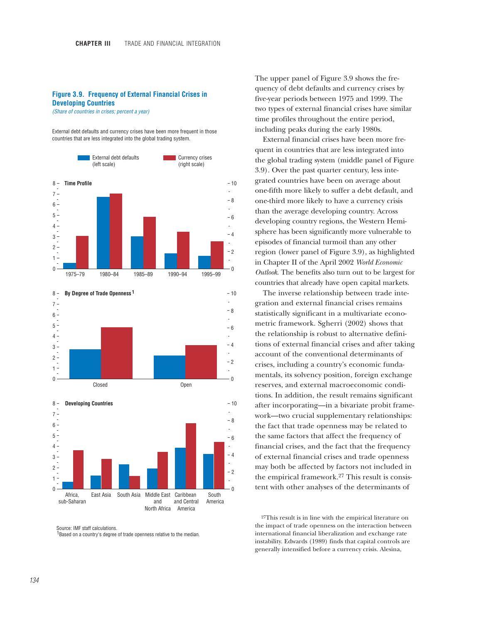### **Figure 3.9. Frequency of External Financial Crises in Developing Countries**

*(Share of countries in crises; percent a year)*

External debt defaults and currency crises have been more frequent in those countries that are less integrated into the global trading system.







Source: IMF staff calculations. Based on a country's degree of trade openness relative to the median. 1

The upper panel of Figure 3.9 shows the frequency of debt defaults and currency crises by five-year periods between 1975 and 1999. The two types of external financial crises have similar time profiles throughout the entire period, including peaks during the early 1980s.

External financial crises have been more frequent in countries that are less integrated into the global trading system (middle panel of Figure 3.9). Over the past quarter century, less integrated countries have been on average about one-fifth more likely to suffer a debt default, and one-third more likely to have a currency crisis than the average developing country. Across developing country regions, the Western Hemisphere has been significantly more vulnerable to episodes of financial turmoil than any other region (lower panel of Figure 3.9), as highlighted in Chapter II of the April 2002 *World Economic Outlook*. The benefits also turn out to be largest for countries that already have open capital markets.

The inverse relationship between trade integration and external financial crises remains statistically significant in a multivariate econometric framework. Sgherri (2002) shows that the relationship is robust to alternative definitions of external financial crises and after taking account of the conventional determinants of crises, including a country's economic fundamentals, its solvency position, foreign exchange reserves, and external macroeconomic conditions. In addition, the result remains significant after incorporating—in a bivariate probit framework—two crucial supplementary relationships: the fact that trade openness may be related to the same factors that affect the frequency of financial crises, and the fact that the frequency of external financial crises and trade openness may both be affected by factors not included in the empirical framework.27 This result is consistent with other analyses of the determinants of

27This result is in line with the empirical literature on the impact of trade openness on the interaction between international financial liberalization and exchange rate instability. Edwards (1989) finds that capital controls are generally intensified before a currency crisis. Alesina,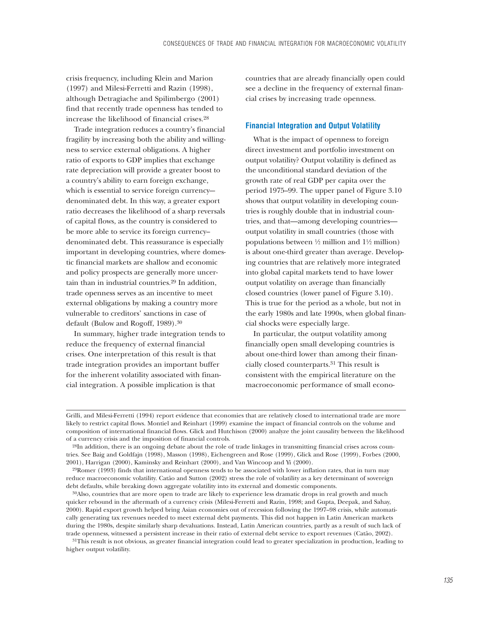crisis frequency, including Klein and Marion (1997) and Milesi-Ferretti and Razin (1998), although Detragiache and Spilimbergo (2001) find that recently trade openness has tended to increase the likelihood of financial crises.28

Trade integration reduces a country's financial fragility by increasing both the ability and willingness to service external obligations. A higher ratio of exports to GDP implies that exchange rate depreciation will provide a greater boost to a country's ability to earn foreign exchange, which is essential to service foreign currencydenominated debt. In this way, a greater export ratio decreases the likelihood of a sharp reversals of capital flows, as the country is considered to be more able to service its foreign currency– denominated debt. This reassurance is especially important in developing countries, where domestic financial markets are shallow and economic and policy prospects are generally more uncertain than in industrial countries.29 In addition, trade openness serves as an incentive to meet external obligations by making a country more vulnerable to creditors' sanctions in case of default (Bulow and Rogoff, 1989).30

In summary, higher trade integration tends to reduce the frequency of external financial crises. One interpretation of this result is that trade integration provides an important buffer for the inherent volatility associated with financial integration. A possible implication is that

countries that are already financially open could see a decline in the frequency of external financial crises by increasing trade openness.

## **Financial Integration and Output Volatility**

What is the impact of openness to foreign direct investment and portfolio investment on output volatility? Output volatility is defined as the unconditional standard deviation of the growth rate of real GDP per capita over the period 1975–99. The upper panel of Figure 3.10 shows that output volatility in developing countries is roughly double that in industrial countries, and that—among developing countries output volatility in small countries (those with populations between  $\frac{1}{2}$  million and  $1\frac{1}{2}$  million) is about one-third greater than average. Developing countries that are relatively more integrated into global capital markets tend to have lower output volatility on average than financially closed countries (lower panel of Figure 3.10). This is true for the period as a whole, but not in the early 1980s and late 1990s, when global financial shocks were especially large.

In particular, the output volatility among financially open small developing countries is about one-third lower than among their financially closed counterparts.31 This result is consistent with the empirical literature on the macroeconomic performance of small econo-

29Romer (1993) finds that international openness tends to be associated with lower inflation rates, that in turn may reduce macroeconomic volatility. Catão and Sutton (2002) stress the role of volatility as a key determinant of sovereign debt defaults, while breaking down aggregate volatility into its external and domestic components.

30Also, countries that are more open to trade are likely to experience less dramatic drops in real growth and much quicker rebound in the aftermath of a currency crisis (Milesi-Ferretti and Razin, 1998; and Gupta, Deepak, and Sahay, 2000). Rapid export growth helped bring Asian economies out of recession following the 1997–98 crisis, while automatically generating tax revenues needed to meet external debt payments. This did not happen in Latin American markets during the 1980s, despite similarly sharp devaluations. Instead, Latin American countries, partly as a result of such lack of trade openness, witnessed a persistent increase in their ratio of external debt service to export revenues (Catão, 2002).

<sup>31</sup>This result is not obvious, as greater financial integration could lead to greater specialization in production, leading to higher output volatility.

Grilli, and Milesi-Ferretti (1994) report evidence that economies that are relatively closed to international trade are more likely to restrict capital flows. Montiel and Reinhart (1999) examine the impact of financial controls on the volume and composition of international financial flows. Glick and Hutchison (2000) analyze the joint causality between the likelihood of a currency crisis and the imposition of financial controls.

<sup>28</sup>In addition, there is an ongoing debate about the role of trade linkages in transmitting financial crises across countries. See Baig and Goldfajn (1998), Masson (1998), Eichengreen and Rose (1999), Glick and Rose (1999), Forbes (2000, 2001), Harrigan (2000), Kaminsky and Reinhart (2000), and Van Wincoop and Yi (2000).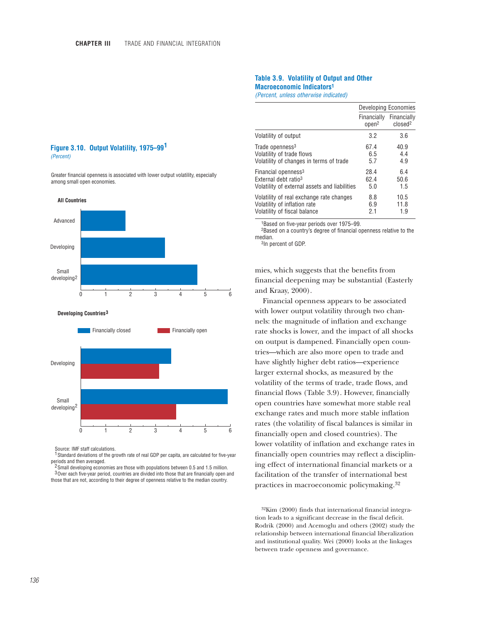### **Table 3.9. Volatility of Output and Other Macroeconomic Indicators1** *(Percent, unless otherwise indicated)*

|                                               | Developing Economies             |                                    |  |
|-----------------------------------------------|----------------------------------|------------------------------------|--|
|                                               | Financially<br>open <sup>2</sup> | Financially<br>closed <sup>2</sup> |  |
| Volatility of output                          | 3.2                              | 3.6                                |  |
| Trade openness <sup>3</sup>                   | 67.4                             | 40.9                               |  |
| Volatility of trade flows                     | 6.5                              | 4.4                                |  |
| Volatility of changes in terms of trade       | 5.7                              | 4.9                                |  |
| Financial openness <sup>3</sup>               | 28.4                             | 6.4                                |  |
| External debt ratio <sup>3</sup>              | 62.4                             | 50.6                               |  |
| Volatility of external assets and liabilities | 5.0                              | 1.5                                |  |
| Volatility of real exchange rate changes      | 8.8                              | 10.5                               |  |
| Volatility of inflation rate                  | 6.9                              | 11.8                               |  |
| Volatility of fiscal balance                  | 2.1                              | 1.9                                |  |

1Based on five-year periods over 1975–99.

2Based on a country's degree of financial openness relative to the median.

3In percent of GDP.

mies, which suggests that the benefits from financial deepening may be substantial (Easterly and Kraay, 2000).

Financial openness appears to be associated with lower output volatility through two channels: the magnitude of inflation and exchange rate shocks is lower, and the impact of all shocks on output is dampened. Financially open countries—which are also more open to trade and have slightly higher debt ratios—experience larger external shocks, as measured by the volatility of the terms of trade, trade flows, and financial flows (Table 3.9). However, financially open countries have somewhat more stable real exchange rates and much more stable inflation rates (the volatility of fiscal balances is similar in financially open and closed countries). The lower volatility of inflation and exchange rates in financially open countries may reflect a disciplining effect of international financial markets or a facilitation of the transfer of international best practices in macroeconomic policymaking.32

32Kim (2000) finds that international financial integration leads to a significant decrease in the fiscal deficit. Rodrik (2000) and Acemoglu and others (2002) study the relationship between international financial liberalization and institutional quality. Wei (2000) looks at the linkages between trade openness and governance.

## **Figure 3.10. Output Volatility, 1975–99 1** *(Percent)*

Greater financial openness is associated with lower output volatility, especially among small open economies.



Source: IMF staff calculations.

<sup>1</sup> Standard deviations of the growth rate of real GDP per capita, are calculated for five-year periods and then averaged.

 $^2$  Small developing economies are those with populations between 0.5 and 1.5 million.  $3$  Over each five-year period, countries are divided into those that are financially open and those that are not, according to their degree of openness relative to the median country.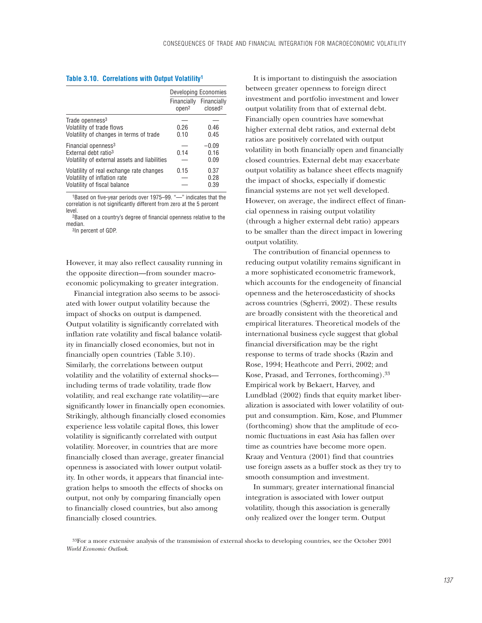# **Table 3.10. Correlations with Output Volatility1**

|                                                                                                                      |                                  | Developing Economies               |
|----------------------------------------------------------------------------------------------------------------------|----------------------------------|------------------------------------|
|                                                                                                                      | Financially<br>open <sup>2</sup> | Financially<br>closed <sup>2</sup> |
| Trade openness <sup>3</sup><br>Volatility of trade flows<br>Volatility of changes in terms of trade                  | 0.26<br>0.10                     | 0.46<br>0.45                       |
| Financial openness <sup>3</sup><br>External debt ratio <sup>3</sup><br>Volatility of external assets and liabilities | 0.14                             | $-0.09$<br>0.16<br>0.09            |
| Volatility of real exchange rate changes<br>Volatility of inflation rate<br>Volatility of fiscal balance             | 0.15                             | 0.37<br>0.28<br>0.39               |

1Based on five-year periods over 1975–99. "—" indicates that the correlation is not significantly different from zero at the 5 percent level.

2Based on a country's degree of financial openness relative to the median.

3In percent of GDP.

However, it may also reflect causality running in the opposite direction—from sounder macroeconomic policymaking to greater integration.

Financial integration also seems to be associated with lower output volatility because the impact of shocks on output is dampened. Output volatility is significantly correlated with inflation rate volatility and fiscal balance volatility in financially closed economies, but not in financially open countries (Table 3.10). Similarly, the correlations between output volatility and the volatility of external shocks including terms of trade volatility, trade flow volatility, and real exchange rate volatility—are significantly lower in financially open economies. Strikingly, although financially closed economies experience less volatile capital flows, this lower volatility is significantly correlated with output volatility. Moreover, in countries that are more financially closed than average, greater financial openness is associated with lower output volatility. In other words, it appears that financial integration helps to smooth the effects of shocks on output, not only by comparing financially open to financially closed countries, but also among financially closed countries.

It is important to distinguish the association between greater openness to foreign direct investment and portfolio investment and lower output volatility from that of external debt. Financially open countries have somewhat higher external debt ratios, and external debt ratios are positively correlated with output volatility in both financially open and financially closed countries. External debt may exacerbate output volatility as balance sheet effects magnify the impact of shocks, especially if domestic financial systems are not yet well developed. However, on average, the indirect effect of financial openness in raising output volatility (through a higher external debt ratio) appears to be smaller than the direct impact in lowering output volatility.

The contribution of financial openness to reducing output volatility remains significant in a more sophisticated econometric framework, which accounts for the endogeneity of financial openness and the heteroscedasticity of shocks across countries (Sgherri, 2002). These results are broadly consistent with the theoretical and empirical literatures. Theoretical models of the international business cycle suggest that global financial diversification may be the right response to terms of trade shocks (Razin and Rose, 1994; Heathcote and Perri, 2002; and Kose, Prasad, and Terrones, forthcoming).33 Empirical work by Bekaert, Harvey, and Lundblad (2002) finds that equity market liberalization is associated with lower volatility of output and consumption. Kim, Kose, and Plummer (forthcoming) show that the amplitude of economic fluctuations in east Asia has fallen over time as countries have become more open. Kraay and Ventura (2001) find that countries use foreign assets as a buffer stock as they try to smooth consumption and investment.

In summary, greater international financial integration is associated with lower output volatility, though this association is generally only realized over the longer term. Output

33For a more extensive analysis of the transmission of external shocks to developing countries, see the October 2001 *World Economic Outlook*.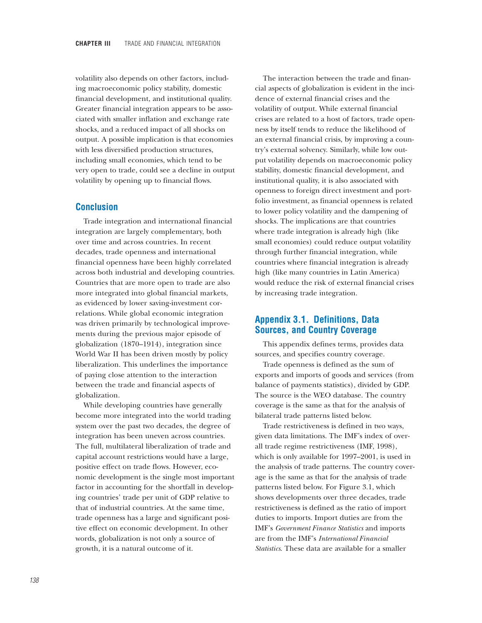volatility also depends on other factors, including macroeconomic policy stability, domestic financial development, and institutional quality. Greater financial integration appears to be associated with smaller inflation and exchange rate shocks, and a reduced impact of all shocks on output. A possible implication is that economies with less diversified production structures, including small economies, which tend to be very open to trade, could see a decline in output volatility by opening up to financial flows.

# **Conclusion**

Trade integration and international financial integration are largely complementary, both over time and across countries. In recent decades, trade openness and international financial openness have been highly correlated across both industrial and developing countries. Countries that are more open to trade are also more integrated into global financial markets, as evidenced by lower saving-investment correlations. While global economic integration was driven primarily by technological improvements during the previous major episode of globalization (1870–1914), integration since World War II has been driven mostly by policy liberalization. This underlines the importance of paying close attention to the interaction between the trade and financial aspects of globalization.

While developing countries have generally become more integrated into the world trading system over the past two decades, the degree of integration has been uneven across countries. The full, multilateral liberalization of trade and capital account restrictions would have a large, positive effect on trade flows. However, economic development is the single most important factor in accounting for the shortfall in developing countries' trade per unit of GDP relative to that of industrial countries. At the same time, trade openness has a large and significant positive effect on economic development. In other words, globalization is not only a source of growth, it is a natural outcome of it.

The interaction between the trade and financial aspects of globalization is evident in the incidence of external financial crises and the volatility of output. While external financial crises are related to a host of factors, trade openness by itself tends to reduce the likelihood of an external financial crisis, by improving a country's external solvency. Similarly, while low output volatility depends on macroeconomic policy stability, domestic financial development, and institutional quality, it is also associated with openness to foreign direct investment and portfolio investment, as financial openness is related to lower policy volatility and the dampening of shocks. The implications are that countries where trade integration is already high (like small economies) could reduce output volatility through further financial integration, while countries where financial integration is already high (like many countries in Latin America) would reduce the risk of external financial crises by increasing trade integration.

# **Appendix 3.1. Definitions, Data Sources, and Country Coverage**

This appendix defines terms, provides data sources, and specifies country coverage.

Trade openness is defined as the sum of exports and imports of goods and services (from balance of payments statistics), divided by GDP. The source is the WEO database. The country coverage is the same as that for the analysis of bilateral trade patterns listed below.

Trade restrictiveness is defined in two ways, given data limitations. The IMF's index of overall trade regime restrictiveness (IMF, 1998), which is only available for 1997–2001, is used in the analysis of trade patterns. The country coverage is the same as that for the analysis of trade patterns listed below. For Figure 3.1, which shows developments over three decades, trade restrictiveness is defined as the ratio of import duties to imports. Import duties are from the IMF's *Government Finance Statistics* and imports are from the IMF's *International Financial Statistics*. These data are available for a smaller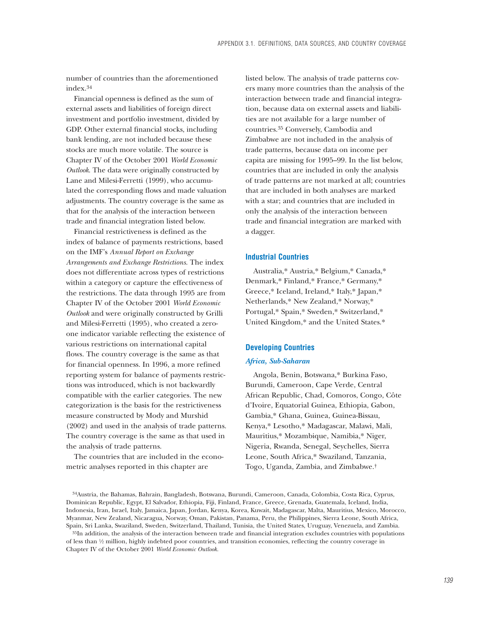number of countries than the aforementioned index.34

Financial openness is defined as the sum of external assets and liabilities of foreign direct investment and portfolio investment, divided by GDP. Other external financial stocks, including bank lending, are not included because these stocks are much more volatile. The source is Chapter IV of the October 2001 *World Economic Outlook*. The data were originally constructed by Lane and Milesi-Ferretti (1999), who accumulated the corresponding flows and made valuation adjustments. The country coverage is the same as that for the analysis of the interaction between trade and financial integration listed below.

Financial restrictiveness is defined as the index of balance of payments restrictions, based on the IMF's *Annual Report on Exchange Arrangements and Exchange Restrictions*. The index does not differentiate across types of restrictions within a category or capture the effectiveness of the restrictions. The data through 1995 are from Chapter IV of the October 2001 *World Economic Outlook* and were originally constructed by Grilli and Milesi-Ferretti (1995), who created a zeroone indicator variable reflecting the existence of various restrictions on international capital flows. The country coverage is the same as that for financial openness. In 1996, a more refined reporting system for balance of payments restrictions was introduced, which is not backwardly compatible with the earlier categories. The new categorization is the basis for the restrictiveness measure constructed by Mody and Murshid (2002) and used in the analysis of trade patterns. The country coverage is the same as that used in the analysis of trade patterns.

The countries that are included in the econometric analyses reported in this chapter are

listed below. The analysis of trade patterns covers many more countries than the analysis of the interaction between trade and financial integration, because data on external assets and liabilities are not available for a large number of countries.35 Conversely, Cambodia and Zimbabwe are not included in the analysis of trade patterns, because data on income per capita are missing for 1995–99. In the list below, countries that are included in only the analysis of trade patterns are not marked at all; countries that are included in both analyses are marked with a star; and countries that are included in only the analysis of the interaction between trade and financial integration are marked with a dagger.

### **Industrial Countries**

Australia,\* Austria,\* Belgium,\* Canada,\* Denmark,\* Finland,\* France,\* Germany,\* Greece,\* Iceland, Ireland,\* Italy,\* Japan,\* Netherlands,\* New Zealand,\* Norway,\* Portugal,\* Spain,\* Sweden,\* Switzerland,\* United Kingdom,\* and the United States.\*

### **Developing Countries**

#### *Africa, Sub-Saharan*

Angola, Benin, Botswana,\* Burkina Faso, Burundi, Cameroon, Cape Verde, Central African Republic, Chad, Comoros, Congo, Côte d'Ivoire, Equatorial Guinea, Ethiopia, Gabon, Gambia,\* Ghana, Guinea, Guinea-Bissau, Kenya,\* Lesotho,\* Madagascar, Malawi, Mali, Mauritius,\* Mozambique, Namibia,\* Niger, Nigeria, Rwanda, Senegal, Seychelles, Sierra Leone, South Africa,\* Swaziland, Tanzania, Togo, Uganda, Zambia, and Zimbabwe.†

34Austria, the Bahamas, Bahrain, Bangladesh, Botswana, Burundi, Cameroon, Canada, Colombia, Costa Rica, Cyprus, Dominican Republic, Egypt, El Salvador, Ethiopia, Fiji, Finland, France, Greece, Grenada, Guatemala, Iceland, India, Indonesia, Iran, Israel, Italy, Jamaica, Japan, Jordan, Kenya, Korea, Kuwait, Madagascar, Malta, Mauritius, Mexico, Morocco, Myanmar, New Zealand, Nicaragua, Norway, Oman, Pakistan, Panama, Peru, the Philippines, Sierra Leone, South Africa, Spain, Sri Lanka, Swaziland, Sweden, Switzerland, Thailand, Tunisia, the United States, Uruguay, Venezuela, and Zambia.

<sup>35</sup>In addition, the analysis of the interaction between trade and financial integration excludes countries with populations of less than  $\frac{1}{2}$  million, highly indebted poor countries, and transition economies, reflecting the country coverage in Chapter IV of the October 2001 *World Economic Outlook.*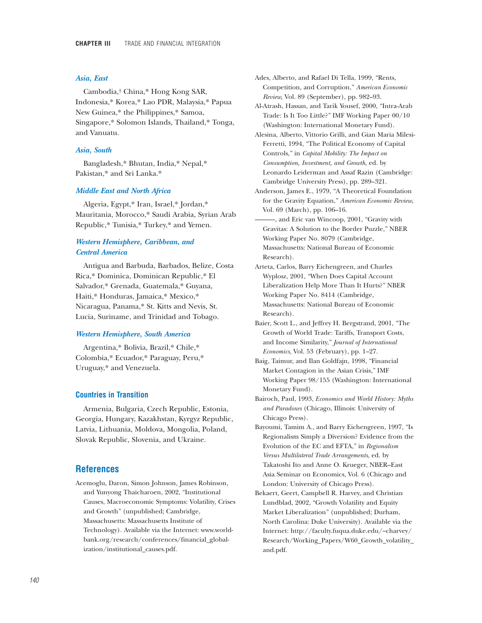### *Asia, East*

Cambodia,† China,\* Hong Kong SAR, Indonesia,\* Korea,\* Lao PDR, Malaysia,\* Papua New Guinea,\* the Philippines,\* Samoa, Singapore,\* Solomon Islands, Thailand,\* Tonga, and Vanuatu.

#### *Asia, South*

Bangladesh,\* Bhutan, India,\* Nepal,\* Pakistan,\* and Sri Lanka.\*

### *Middle East and North Africa*

Algeria, Egypt,\* Iran, Israel,\* Jordan,\* Mauritania, Morocco,\* Saudi Arabia, Syrian Arab Republic,\* Tunisia,\* Turkey,\* and Yemen.

# *Western Hemisphere, Caribbean, and Central America*

Antigua and Barbuda, Barbados, Belize, Costa Rica,\* Dominica, Dominican Republic,\* El Salvador,\* Grenada, Guatemala,\* Guyana, Haiti,\* Honduras, Jamaica,\* Mexico,\* Nicaragua, Panama,\* St. Kitts and Nevis, St. Lucia, Suriname, and Trinidad and Tobago.

### *Western Hemisphere, South America*

Argentina,\* Bolivia, Brazil,\* Chile,\* Colombia,\* Ecuador,\* Paraguay, Peru,\* Uruguay,\* and Venezuela.

### **Countries in Transition**

Armenia, Bulgaria, Czech Republic, Estonia, Georgia, Hungary, Kazakhstan, Kyrgyz Republic, Latvia, Lithuania, Moldova, Mongolia, Poland, Slovak Republic, Slovenia, and Ukraine.

# **References**

Acemoglu, Daron, Simon Johnson, James Robinson, and Yunyong Thaicharoen, 2002, "Institutional Causes, Macroeconomic Symptoms: Volatility, Crises and Growth" (unpublished; Cambridge, Massachusetts: Massachusetts Institute of Technology). Available via the Internet: www.worldbank.org/research/conferences/financial\_globalization/institutional\_causes.pdf.

Ades, Alberto, and Rafael Di Tella, 1999, "Rents, Competition, and Corruption," *American Economic Review,* Vol. 89 (September), pp. 982–93.

Al-Atrash, Hassan, and Tarik Yousef, 2000, "Intra-Arab Trade: Is It Too Little?" IMF Working Paper 00/10 (Washington: International Monetary Fund).

Alesina, Alberto, Vittorio Grilli, and Gian Maria Milesi-Ferretti, 1994, "The Political Economy of Capital Controls," in *Capital Mobility: The Impact on Consumption, Investment, and Growth,* ed. by Leonardo Leiderman and Assaf Razin (Cambridge: Cambridge University Press), pp. 289–321.

Anderson, James E., 1979, "A Theoretical Foundation for the Gravity Equation," *American Economic Review*, Vol. 69 (March), pp. 106–16.

———, and Eric van Wincoop, 2001, "Gravity with Gravitas: A Solution to the Border Puzzle," NBER Working Paper No. 8079 (Cambridge, Massachusetts: National Bureau of Economic Research).

- Arteta, Carlos, Barry Eichengreen, and Charles Wyplosz, 2001, "When Does Capital Account Liberalization Help More Than It Hurts?" NBER Working Paper No. 8414 (Cambridge, Massachusetts: National Bureau of Economic Research).
- Baier, Scott L., and Jeffrey H. Bergstrand, 2001, "The Growth of World Trade: Tariffs, Transport Costs, and Income Similarity," *Journal of International Economics*, Vol. 53 (February), pp. 1–27.
- Baig, Taimur, and Ilan Goldfajn, 1998, "Financial Market Contagion in the Asian Crisis," IMF Working Paper 98/155 (Washington: International Monetary Fund).
- Bairoch, Paul, 1993, *Economics and World History: Myths and Paradoxes* (Chicago, Illinois: University of Chicago Press).
- Bayoumi, Tamim A., and Barry Eichengreen, 1997, "Is Regionalism Simply a Diversion? Evidence from the Evolution of the EC and EFTA," in *Regionalism Versus Multilateral Trade Arrangements*, ed. by Takatoshi Ito and Anne O. Krueger, NBER–East Asia Seminar on Economics, Vol. 6 (Chicago and London: University of Chicago Press).
- Bekaert, Geert, Campbell R. Harvey, and Christian Lundblad, 2002, "Growth Volatility and Equity Market Liberalization" (unpublished; Durham, North Carolina: Duke University). Available via the Internet: http://faculty.fuqua.duke.edu/~charvey/ Research/Working\_Papers/W60\_Growth\_volatility\_ and.pdf.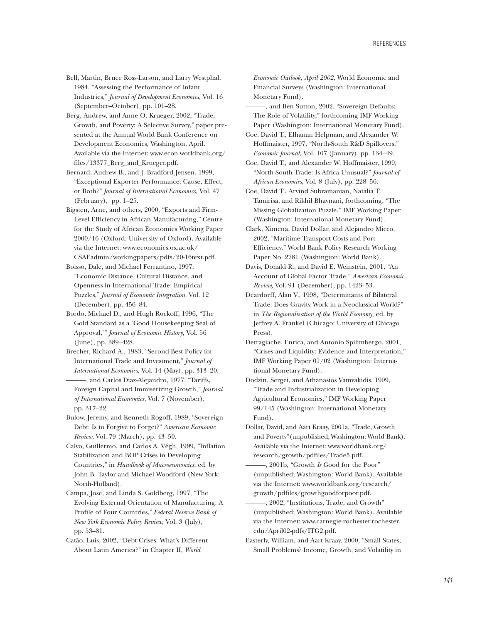- Bell, Martin, Bruce Ross-Larson, and Larry Westphal, 1984, "Assessing the Performance of Infant Industries," *Journal of Development Economics,* Vol. 16 (September–October), pp. 101–28.
- Berg, Andrew, and Anne O. Krueger, 2002, "Trade, Growth, and Poverty: A Selective Survey," paper presented at the Annual World Bank Conference on Development Economics, Washington, April. Available via the Internet: www.econ.worldbank.org/ files/13377\_Berg\_and\_Krueger.pdf.
- Bernard, Andrew B., and J. Bradford Jensen, 1999, "Exceptional Exporter Performance: Cause, Effect, or Both?" *Journal of International Economics,* Vol. 47 (February), pp. 1–25.
- Bigsten, Arne, and others, 2000, "Exports and Firm-Level Efficiency in African Manufacturing," Centre for the Study of African Economies Working Paper 2000/16 (Oxford: University of Oxford). Available via the Internet: www.economics.ox.ac.uk/ CSAEadmin/workingpapers/pdfs/20-16text.pdf.
- Boisso, Dale, and Michael Ferrantino, 1997, "Economic Distance, Cultural Distance, and Openness in International Trade: Empirical Puzzles," *Journal of Economic Integration,* Vol. 12 (December), pp. 456–84.
- Bordo, Michael D., and Hugh Rockoff, 1996, "The Gold Standard as a 'Good Housekeeping Seal of Approval,'" *Journal of Economic History*, Vol. 56 (June), pp. 389–428.
- Brecher, Richard A., 1983, "Second-Best Policy for International Trade and Investment," *Journal of International Economics*, Vol. 14 (May), pp. 313–20.
- ———, and Carlos Diaz-Alejandro, 1977, "Tariffs, Foreign Capital and Immiserizing Growth," *Journal of International Economics*, Vol. 7 (November), pp. 317–22.
- Bulow, Jeremy, and Kenneth Rogoff, 1989, "Sovereign Debt: Is to Forgive to Forget?" *American Economic Review*, Vol. 79 (March), pp. 43–50.
- Calvo, Guillermo, and Carlos A. Végh, 1999, "Inflation Stabilization and BOP Crises in Developing Countries," in *Handbook of Macroeconomics*, ed. by John B. Taylor and Michael Woodford (New York: North-Holland).
- Campa, José, and Linda S. Goldberg, 1997, "The Evolving External Orientation of Manufacturing: A Profile of Four Countries," *Federal Reserve Bank of New York Economic Policy Review*, Vol. 3 (July), pp. 53–81.
- Catão, Luis, 2002, "Debt Crises: What's Different About Latin America?" in Chapter II, *World*

*Economic Outlook, April 2002*, World Economic and Financial Surveys (Washington: International Monetary Fund).

- -, and Ben Sutton, 2002, "Sovereign Defaults: The Role of Volatility," forthcoming IMF Working Paper (Washington: International Monetary Fund).
- Coe, David T., Elhanan Helpman, and Alexander W. Hoffmaister, 1997, "North-South R&D Spillovers," *Economic Journal,* Vol. 107 (January), pp. 134–49.
- Coe, David T., and Alexander W. Hoffmaister, 1999, "North-South Trade: Is Africa Unusual?" *Journal of African Economies*, Vol. 8 (July), pp. 228–56.
- Coe, David T., Arvind Subramanian, Natalia T. Tamirisa, and Rikhil Bhavnani, forthcoming, "The Missing Globalization Puzzle," IMF Working Paper (Washington: International Monetary Fund).
- Clark, Ximena, David Dollar, and Alejandro Micco, 2002, "Maritime Transport Costs and Port Efficiency," World Bank Policy Research Working Paper No. 2781 (Washington: World Bank).
- Davis, Donald R., and David E. Weinstein, 2001, "An Account of Global Factor Trade," *American Economic Review,* Vol. 91 (December), pp. 1423–53.
- Deardorff, Alan V., 1998, "Determinants of Bilateral Trade: Does Gravity Work in a Neoclassical World?" in *The Regionalization of the World Economy,* ed. by Jeffrey A. Frankel (Chicago: University of Chicago Press).
- Detragiache, Enrica, and Antonio Spilimbergo, 2001, "Crises and Liquidity: Evidence and Interpretation," IMF Working Paper 01/02 (Washington: International Monetary Fund).
- Dodzin, Sergei, and Athanasios Vamvakidis, 1999, "Trade and Industrialization in Developing Agricultural Economies," IMF Working Paper 99/145 (Washington: International Monetary Fund).
- Dollar, David, and Aart Kraay, 2001a, "Trade, Growth and Poverty"(unpublished; Washington: World Bank). Available via the Internet: www.worldbank.org/ research/growth/pdfiles/Trade5.pdf.
- ———, 2001b, "Growth *Is* Good for the Poor" (unpublished; Washington: World Bank). Available via the Internet: www.worldbank.org/research/ growth/pdfiles/growthgoodforpoor.pdf.
- -, 2002, "Institutions, Trade, and Growth" (unpublished; Washington: World Bank). Available via the Internet: www.carnegie-rochester.rochester. edu/April02-pdfs/ITG2.pdf.
- Easterly, William, and Aart Kraay, 2000, "Small States, Small Problems? Income, Growth, and Volatility in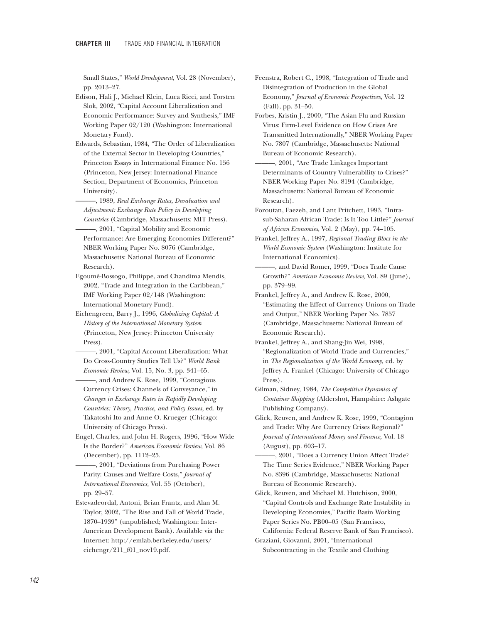Small States," *World Development*, Vol. 28 (November), pp. 2013–27.

- Edison, Hali J., Michael Klein, Luca Ricci, and Torsten Slok, 2002, "Capital Account Liberalization and Economic Performance: Survey and Synthesis," IMF Working Paper 02/120 (Washington: International Monetary Fund).
- Edwards, Sebastian, 1984, "The Order of Liberalization of the External Sector in Developing Countries," Princeton Essays in International Finance No. 156 (Princeton, New Jersey: International Finance Section, Department of Economics, Princeton University).
- ———, 1989, *Real Exchange Rates, Devaluation and Adjustment: Exchange Rate Policy in Developing Countries* (Cambridge, Massachusetts: MIT Press).
- -, 2001, "Capital Mobility and Economic Performance: Are Emerging Economies Different?" NBER Working Paper No. 8076 (Cambridge, Massachusetts: National Bureau of Economic Research).
- Egoumé-Bossogo, Philippe, and Chandima Mendis, 2002, "Trade and Integration in the Caribbean," IMF Working Paper 02/148 (Washington: International Monetary Fund).
- Eichengreen, Barry J., 1996, *Globalizing Capital: A History of the International Monetary System* (Princeton, New Jersey: Princeton University Press).
- ———, 2001, "Capital Account Liberalization: What Do Cross-Country Studies Tell Us?" *World Bank Economic Review*, Vol. 15, No. 3, pp. 341–65.
- ———, and Andrew K. Rose, 1999, "Contagious Currency Crises: Channels of Conveyance," in *Changes in Exchange Rates in Rapidly Developing Countries: Theory, Practice, and Policy Issues*, ed. by Takatoshi Ito and Anne O. Krueger (Chicago: University of Chicago Press).
- Engel, Charles, and John H. Rogers, 1996, "How Wide Is the Border?" *American Economic Review*, Vol. 86 (December), pp. 1112–25.
- ———, 2001, "Deviations from Purchasing Power Parity: Causes and Welfare Costs," *Journal of International Economics,* Vol. 55 (October), pp. 29–57.
- Estevadeordal, Antoni, Brian Frantz, and Alan M. Taylor, 2002, "The Rise and Fall of World Trade, 1870–1939" (unpublished; Washington: Inter-American Development Bank). Available via the Internet: http://emlab.berkeley.edu/users/ eichengr/211\_f01\_nov19.pdf.
- Feenstra, Robert C., 1998, "Integration of Trade and Disintegration of Production in the Global Economy," *Journal of Economic Perspectives*, Vol. 12 (Fall), pp. 31–50.
- Forbes, Kristin J., 2000, "The Asian Flu and Russian Virus: Firm-Level Evidence on How Crises Are Transmitted Internationally," NBER Working Paper No. 7807 (Cambridge, Massachusetts: National Bureau of Economic Research).
- $-$ , 2001, "Are Trade Linkages Important Determinants of Country Vulnerability to Crises?" NBER Working Paper No. 8194 (Cambridge, Massachusetts: National Bureau of Economic Research).
- Foroutan, Faezeh, and Lant Pritchett, 1993, "Intrasub-Saharan African Trade: Is It Too Little?" *Journal of African Economies*, Vol. 2 (May), pp. 74–105.
- Frankel, Jeffrey A., 1997, *Regional Trading Blocs in the World Economic System* (Washington: Institute for International Economics).

———, and David Romer, 1999, "Does Trade Cause Growth?" *American Economic Review,* Vol. 89 (June), pp. 379–99.

- Frankel, Jeffrey A., and Andrew K. Rose, 2000, "Estimating the Effect of Currency Unions on Trade and Output," NBER Working Paper No. 7857 (Cambridge, Massachusetts: National Bureau of Economic Research).
- Frankel, Jeffrey A., and Shang-Jin Wei, 1998, "Regionalization of World Trade and Currencies," in *The Regionalization of the World Economy*, ed. by Jeffrey A. Frankel (Chicago: University of Chicago Press).
- Gilman, Sidney, 1984, *The Competitive Dynamics of Container Shipping* (Aldershot, Hampshire: Ashgate Publishing Company).
- Glick, Reuven, and Andrew K. Rose, 1999, "Contagion and Trade: Why Are Currency Crises Regional?" *Journal of International Money and Finance,* Vol. 18 (August), pp. 603–17.
- ———, 2001, "Does a Currency Union Affect Trade? The Time Series Evidence," NBER Working Paper No. 8396 (Cambridge, Massachusetts: National Bureau of Economic Research).
- Glick, Reuven, and Michael M. Hutchison, 2000, "Capital Controls and Exchange Rate Instability in Developing Economies," Pacific Basin Working Paper Series No. PB00–05 (San Francisco,
- California: Federal Reserve Bank of San Francisco). Graziani, Giovanni, 2001, "International Subcontracting in the Textile and Clothing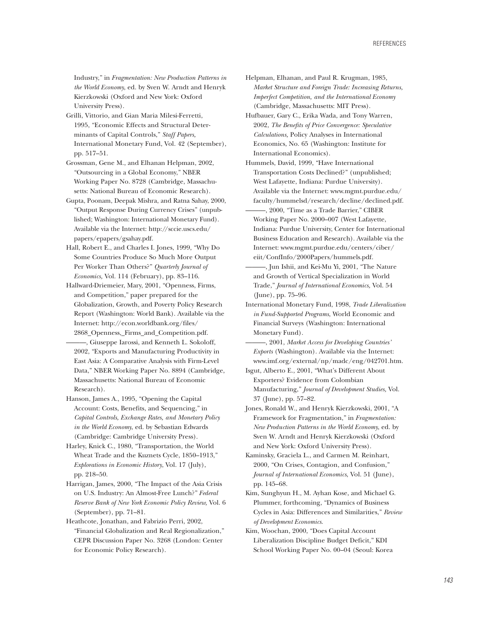Industry," in *Fragmentation: New Production Patterns in the World Economy*, ed. by Sven W. Arndt and Henryk Kierzkowski (Oxford and New York: Oxford University Press).

- Grilli, Vittorio, and Gian Maria Milesi-Ferretti, 1995, "Economic Effects and Structural Determinants of Capital Controls," *Staff Papers,* International Monetary Fund, Vol. 42 (September), pp. 517–51.
- Grossman, Gene M., and Elhanan Helpman, 2002, "Outsourcing in a Global Economy," NBER Working Paper No. 8728 (Cambridge, Massachusetts: National Bureau of Economic Research).
- Gupta, Poonam, Deepak Mishra, and Ratna Sahay, 2000, "Output Response During Currency Crises" (unpublished; Washington: International Monetary Fund). Available via the Internet: http://sccie.uscs.edu/ papers/epapers/gsahay.pdf.
- Hall, Robert E., and Charles I. Jones, 1999, "Why Do Some Countries Produce So Much More Output Per Worker Than Others?" *Quarterly Journal of Economics,* Vol. 114 (February), pp. 83–116.
- Hallward-Driemeier, Mary, 2001, "Openness, Firms, and Competition," paper prepared for the Globalization, Growth, and Poverty Policy Research Report (Washington: World Bank). Available via the Internet: http://econ.worldbank.org/files/ 2868\_Openness,\_Firms\_and\_Competition.pdf.
- ———, Giuseppe Iarossi, and Kenneth L. Sokoloff, 2002, "Exports and Manufacturing Productivity in East Asia: A Comparative Analysis with Firm-Level Data," NBER Working Paper No. 8894 (Cambridge, Massachusetts: National Bureau of Economic Research).
- Hanson, James A., 1995, "Opening the Capital Account: Costs, Benefits, and Sequencing," in *Capital Controls, Exchange Rates, and Monetary Policy in the World Economy*, ed. by Sebastian Edwards (Cambridge: Cambridge University Press).
- Harley, Knick C., 1980, "Transportation, the World Wheat Trade and the Kuznets Cycle, 1850–1913," *Explorations in Economic History*, Vol. 17 (July), pp. 218–50.
- Harrigan, James, 2000, "The Impact of the Asia Crisis on U.S. Industry: An Almost-Free Lunch?" *Federal Reserve Bank of New York Economic Policy Review,* Vol. 6 (September), pp. 71–81.
- Heathcote, Jonathan, and Fabrizio Perri, 2002, "Financial Globalization and Real Regionalization," CEPR Discussion Paper No. 3268 (London: Center for Economic Policy Research).
- Helpman, Elhanan, and Paul R. Krugman, 1985, *Market Structure and Foreign Trade: Increasing Returns, Imperfect Competition, and the International Economy* (Cambridge, Massachusetts: MIT Press).
- Hufbauer, Gary C., Erika Wada, and Tony Warren, 2002, *The Benefits of Price Convergence: Speculative Calculations,* Policy Analyses in International Economics, No. 65 (Washington: Institute for International Economics).
- Hummels, David, 1999, "Have International Transportation Costs Declined?" (unpublished; West Lafayette, Indiana: Purdue University). Available via the Internet: www.mgmt.purdue.edu/ faculty/hummelsd/research/decline/declined.pdf.
- -, 2000, "Time as a Trade Barrier," CIBER Working Paper No. 2000–007 (West Lafayette, Indiana: Purdue University, Center for International Business Education and Research). Available via the Internet: www.mgmt.purdue.edu/centers/ciber/ eiit/ConfInfo/2000Papers/hummels.pdf.
- -, Jun Ishii, and Kei-Mu Yi, 2001, "The Nature and Growth of Vertical Specialization in World Trade," *Journal of International Economics,* Vol. 54 (June), pp. 75–96.
- International Monetary Fund, 1998, *Trade Liberalization in Fund-Supported Programs*, World Economic and Financial Surveys (Washington: International Monetary Fund).
- ———, 2001, *Market Access for Developing Countries' Exports* (Washington). Available via the Internet: www.imf.org/external/np/madc/eng/042701.htm.
- Isgut, Alberto E., 2001, "What's Different About Exporters? Evidence from Colombian Manufacturing," *Journal of Development Studies,* Vol. 37 (June), pp. 57–82.
- Jones, Ronald W., and Henryk Kierzkowski, 2001, "A Framework for Fragmentation," in *Fragmentation: New Production Patterns in the World Economy*, ed. by Sven W. Arndt and Henryk Kierzkowski (Oxford and New York: Oxford University Press).
- Kaminsky, Graciela L., and Carmen M. Reinhart, 2000, "On Crises, Contagion, and Confusion," *Journal of International Economics*, Vol. 51 (June), pp. 145–68.
- Kim, Sunghyun H., M. Ayhan Kose, and Michael G. Plummer, forthcoming, "Dynamics of Business Cycles in Asia: Differences and Similarities," *Review of Development Economics*.
- Kim, Woochan, 2000, "Does Capital Account Liberalization Discipline Budget Deficit," KDI School Working Paper No. 00–04 (Seoul: Korea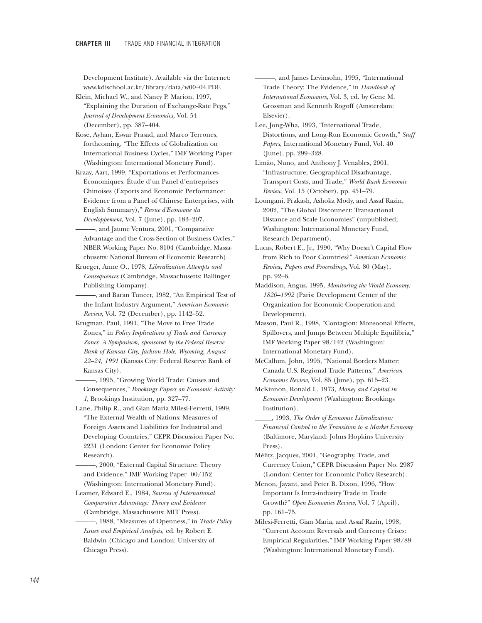Development Institute). Available via the Internet: www.kdischool.ac.kr/library/data/w00–04.PDF.

Klein, Michael W., and Nancy P. Marion, 1997, "Explaining the Duration of Exchange-Rate Pegs," *Journal of Development Economics,* Vol. 54 (December), pp. 387–404.

- Kose, Ayhan, Eswar Prasad, and Marco Terrones, forthcoming, "The Effects of Globalization on International Business Cycles," IMF Working Paper (Washington: International Monetary Fund).
- Kraay, Aart, 1999, "Exportations et Performances Économiques: Étude d'un Panel d'entreprises Chinoises (Exports and Economic Performance: Evidence from a Panel of Chinese Enterprises, with English Summary)," *Revue d'Economie du Developpement,* Vol. 7 (June), pp. 183–207.
- ———, and Jaume Ventura, 2001, "Comparative Advantage and the Cross-Section of Business Cycles," NBER Working Paper No. 8104 (Cambridge, Massachusetts: National Bureau of Economic Research).
- Krueger, Anne O., 1978, *Liberalization Attempts and Consequences* (Cambridge, Massachusetts: Ballinger Publishing Company).
- -, and Baran Tuncer, 1982, "An Empirical Test of the Infant Industry Argument," *American Economic Review*, Vol. 72 (December), pp. 1142–52.
- Krugman, Paul, 1991, "The Move to Free Trade Zones," in *Policy Implications of Trade and Currency Zones*: *A Symposium, sponsored by the Federal Reserve Bank of Kansas City, Jackson Hole, Wyoming, August 22–24, 1991* (Kansas City: Federal Reserve Bank of Kansas City).
- ———, 1995, "Growing World Trade: Causes and Consequences," *Brookings Papers on Economic Activity: 1*, Brookings Institution, pp. 327–77.
- Lane, Philip R., and Gian Maria Milesi-Ferretti, 1999, "The External Wealth of Nations: Measures of Foreign Assets and Liabilities for Industrial and Developing Countries," CEPR Discussion Paper No. 2231 (London: Center for Economic Policy Research).
- -, 2000, "External Capital Structure: Theory and Evidence," IMF Working Paper 00/152 (Washington: International Monetary Fund).
- Leamer, Edward E., 1984, *Sources of International Comparative Advantage: Theory and Evidence* (Cambridge, Massachusetts: MIT Press).
- ———, 1988, "Measures of Openness," in *Trade Policy Issues and Empirical Analysis,* ed. by Robert E. Baldwin (Chicago and London: University of Chicago Press).

———, and James Levinsohn, 1995, "International Trade Theory: The Evidence," in *Handbook of International Economics*, Vol. 3, ed. by Gene M. Grossman and Kenneth Rogoff (Amsterdam: Elsevier).

Lee, Jong-Wha, 1993, "International Trade, Distortions, and Long-Run Economic Growth," *Staff Papers*, International Monetary Fund, Vol. 40 (June), pp. 299–328.

Limão, Nuno, and Anthony J. Venables, 2001, "Infrastructure, Geographical Disadvantage, Transport Costs, and Trade," *World Bank Economic Review*, Vol. 15 (October), pp. 451–79.

Loungani, Prakash, Ashoka Mody, and Assaf Razin, 2002, "The Global Disconnect: Transactional Distance and Scale Economies" (unpublished; Washington: International Monetary Fund, Research Department).

- Lucas, Robert E., Jr., 1990, "Why Doesn't Capital Flow from Rich to Poor Countries?" *American Economic Review, Papers and Proceedings*, Vol. 80 (May), pp. 92–6.
- Maddison, Angus, 1995, *Monitoring the World Economy: 1820–1992* (Paris: Development Center of the Organization for Economic Cooperation and Development).
- Masson, Paul R., 1998, "Contagion: Monsoonal Effects, Spillovers, and Jumps Between Multiple Equilibria," IMF Working Paper 98/142 (Washington: International Monetary Fund).
- McCallum, John, 1995, "National Borders Matter: Canada-U.S. Regional Trade Patterns," *American Economic Review*, Vol. 85 (June), pp. 615–23.
- McKinnon, Ronald I., 1973, *Money and Capital in Economic Development* (Washington: Brookings Institution).
- \_\_\_\_\_, 1993, *The Order of Economic Liberalization: Financial Control in the Transition to a Market Econom*y (Baltimore, Maryland: Johns Hopkins University Press).

Mélitz, Jacques, 2001, "Geography, Trade, and Currency Union," CEPR Discussion Paper No. 2987 (London: Center for Economic Policy Research).

- Menon, Jayant, and Peter B. Dixon, 1996, "How Important Is Intra-industry Trade in Trade Growth?" *Open Economies Review*, Vol. 7 (April), pp. 161–75.
- Milesi-Ferretti, Gian Maria, and Assaf Razin, 1998, "Current Account Reversals and Currency Crises: Empirical Regularities," IMF Working Paper 98/89 (Washington: International Monetary Fund).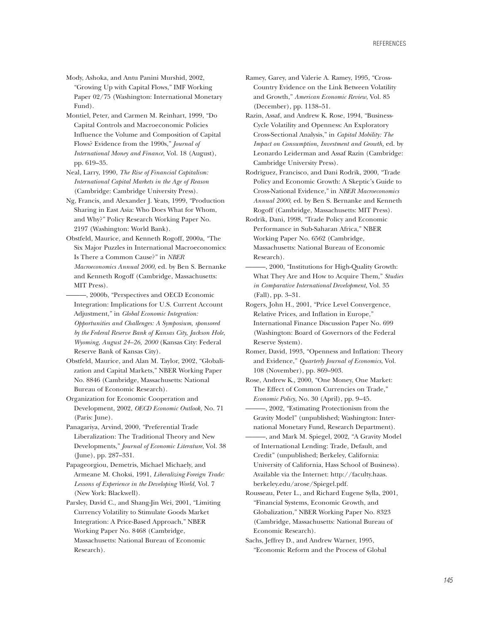Mody, Ashoka, and Antu Panini Murshid, 2002, "Growing Up with Capital Flows," IMF Working Paper 02/75 (Washington: International Monetary Fund).

Montiel, Peter, and Carmen M. Reinhart, 1999, "Do Capital Controls and Macroeconomic Policies Influence the Volume and Composition of Capital Flows? Evidence from the 1990s," *Journal of International Money and Finance*, Vol. 18 (August), pp. 619–35.

Neal, Larry, 1990, *The Rise of Financial Capitalism: International Capital Markets in the Age of Reason* (Cambridge: Cambridge University Press).

Ng, Francis, and Alexander J. Yeats, 1999, "Production Sharing in East Asia: Who Does What for Whom, and Why?" Policy Research Working Paper No. 2197 (Washington: World Bank).

- Obstfeld, Maurice, and Kenneth Rogoff, 2000a, "The Six Major Puzzles in International Macroeconomics: Is There a Common Cause?" in *NBER Macroeconomics Annual 2000*, ed. by Ben S. Bernanke and Kenneth Rogoff (Cambridge, Massachusetts: MIT Press).
- -, 2000b, "Perspectives and OECD Economic Integration: Implications for U.S. Current Account Adjustment," in *Global Economic Integration: Opportunities and Challenges: A Symposium, sponsored by the Federal Reserve Bank of Kansas City, Jackson Hole, Wyoming, August 24–26, 2000* (Kansas City: Federal Reserve Bank of Kansas City).
- Obstfeld, Maurice, and Alan M. Taylor, 2002, "Globalization and Capital Markets," NBER Working Paper No. 8846 (Cambridge, Massachusetts: National Bureau of Economic Research).

Organization for Economic Cooperation and Development, 2002, *OECD Economic Outlook,* No. 71 (Paris: June).

Panagariya, Arvind, 2000, "Preferential Trade Liberalization: The Traditional Theory and New Developments," *Journal of Economic Literature*, Vol. 38 (June), pp. 287–331.

Papageorgiou, Demetris, Michael Michaely, and Armeane M. Choksi, 1991, *Liberalizing Foreign Trade: Lessons of Experience in the Developing World,* Vol. 7 (New York: Blackwell).

Parsley, David C., and Shang-Jin Wei, 2001, "Limiting Currency Volatility to Stimulate Goods Market Integration: A Price-Based Approach," NBER Working Paper No. 8468 (Cambridge, Massachusetts: National Bureau of Economic Research).

- Ramey, Garey, and Valerie A. Ramey, 1995, "Cross-Country Evidence on the Link Between Volatility and Growth," *American Economic Review*, Vol. 85 (December), pp. 1138–51.
- Razin, Assaf, and Andrew K. Rose, 1994, "Business-Cycle Volatility and Openness: An Exploratory Cross-Sectional Analysis," in *Capital Mobility: The Impact on Consumption, Investment and Growth,* ed. by Leonardo Leiderman and Assaf Razin (Cambridge: Cambridge University Press).
- Rodriguez, Francisco, and Dani Rodrik, 2000, "Trade Policy and Economic Growth: A Skeptic's Guide to Cross-National Evidence," in *NBER Macroeconomics Annual 2000*, ed. by Ben S. Bernanke and Kenneth Rogoff (Cambridge, Massachusetts: MIT Press).

Rodrik, Dani, 1998, "Trade Policy and Economic Performance in Sub-Saharan Africa," NBER Working Paper No. 6562 (Cambridge, Massachusetts: National Bureau of Economic Research).

- ———, 2000, "Institutions for High-Quality Growth: What They Are and How to Acquire Them," *Studies in Comparative International Development,* Vol. 35 (Fall), pp. 3–31.
- Rogers, John H., 2001, "Price Level Convergence, Relative Prices, and Inflation in Europe," International Finance Discussion Paper No. 699 (Washington: Board of Governors of the Federal Reserve System).
- Romer, David, 1993, "Openness and Inflation: Theory and Evidence," *Quarterly Journal of Economics*, Vol. 108 (November), pp. 869–903.

Rose, Andrew K., 2000, "One Money, One Market: The Effect of Common Currencies on Trade," *Economic Policy*, No. 30 (April), pp. 9–45.

———, 2002, "Estimating Protectionism from the Gravity Model" (unpublished; Washington: International Monetary Fund, Research Department).

-, and Mark M. Spiegel, 2002, "A Gravity Model of International Lending: Trade, Default, and Credit" (unpublished; Berkeley, California: University of California, Hass School of Business). Available via the Internet: http://faculty.haas. berkeley.edu/arose/Spiegel.pdf.

Rousseau, Peter L., and Richard Eugene Sylla, 2001, "Financial Systems, Economic Growth, and Globalization," NBER Working Paper No. 8323 (Cambridge, Massachusetts: National Bureau of Economic Research).

Sachs, Jeffrey D., and Andrew Warner, 1995, "Economic Reform and the Process of Global